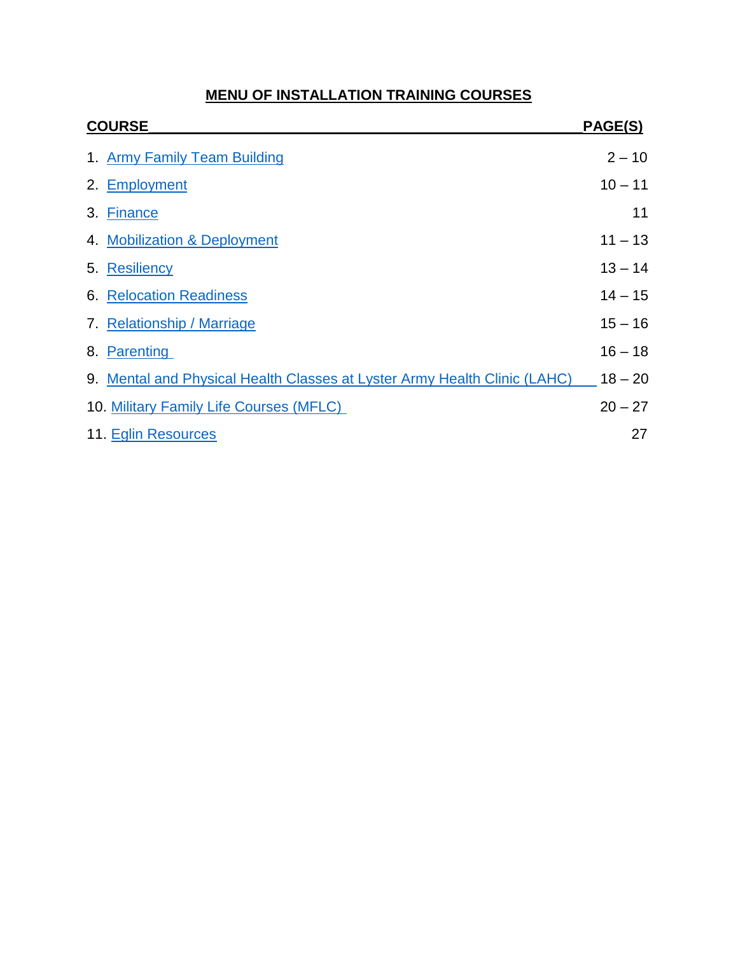# **MENU OF INSTALLATION TRAINING COURSES**

<span id="page-0-0"></span>

| <b>COURSE</b> |                                                                           | PAGE(S)   |
|---------------|---------------------------------------------------------------------------|-----------|
|               | 1. Army Family Team Building                                              | $2 - 10$  |
|               | 2. Employment                                                             | $10 - 11$ |
|               | 3. Finance                                                                | 11        |
|               | 4. Mobilization & Deployment                                              | $11 - 13$ |
|               | 5. Resiliency                                                             | $13 - 14$ |
|               | <b>6. Relocation Readiness</b>                                            | $14 - 15$ |
|               | 7. Relationship / Marriage                                                | $15 - 16$ |
|               | 8. Parenting                                                              | $16 - 18$ |
|               | 9. Mental and Physical Health Classes at Lyster Army Health Clinic (LAHC) | $18 - 20$ |
|               | 10. Military Family Life Courses (MFLC)                                   | $20 - 27$ |
|               | 11. Eglin Resources                                                       | 27        |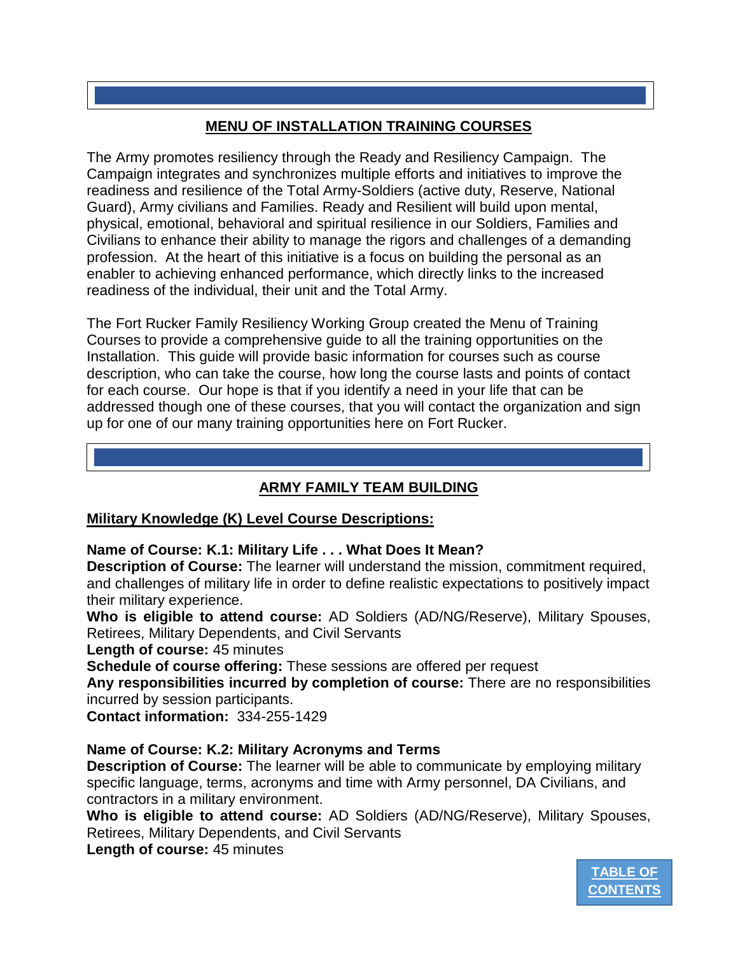# **MENU OF INSTALLATION TRAINING COURSES**

The Army promotes resiliency through the Ready and Resiliency Campaign. The Campaign integrates and synchronizes multiple efforts and initiatives to improve the readiness and resilience of the Total Army-Soldiers (active duty, Reserve, National Guard), Army civilians and Families. Ready and Resilient will build upon mental, physical, emotional, behavioral and spiritual resilience in our Soldiers, Families and Civilians to enhance their ability to manage the rigors and challenges of a demanding profession. At the heart of this initiative is a focus on building the personal as an enabler to achieving enhanced performance, which directly links to the increased readiness of the individual, their unit and the Total Army.

The Fort Rucker Family Resiliency Working Group created the Menu of Training Courses to provide a comprehensive guide to all the training opportunities on the Installation. This guide will provide basic information for courses such as course description, who can take the course, how long the course lasts and points of contact for each course. Our hope is that if you identify a need in your life that can be addressed though one of these courses, that you will contact the organization and sign up for one of our many training opportunities here on Fort Rucker.

## **ARMY FAMILY TEAM BUILDING**

## <span id="page-1-0"></span>**Military Knowledge (K) Level Course Descriptions:**

## **Name of Course: K.1: Military Life . . . What Does It Mean?**

**Description of Course:** The learner will understand the mission, commitment required, and challenges of military life in order to define realistic expectations to positively impact their military experience.

**Who is eligible to attend course:** AD Soldiers (AD/NG/Reserve), Military Spouses, Retirees, Military Dependents, and Civil Servants

**Length of course:** 45 minutes

**Schedule of course offering:** These sessions are offered per request

**Any responsibilities incurred by completion of course:** There are no responsibilities incurred by session participants.

**Contact information:** 334-255-1429

## **Name of Course: K.2: Military Acronyms and Terms**

**Description of Course:** The learner will be able to communicate by employing military specific language, terms, acronyms and time with Army personnel, DA Civilians, and contractors in a military environment.

**Who is eligible to attend course:** AD Soldiers (AD/NG/Reserve), Military Spouses, Retirees, Military Dependents, and Civil Servants

**Length of course:** 45 minutes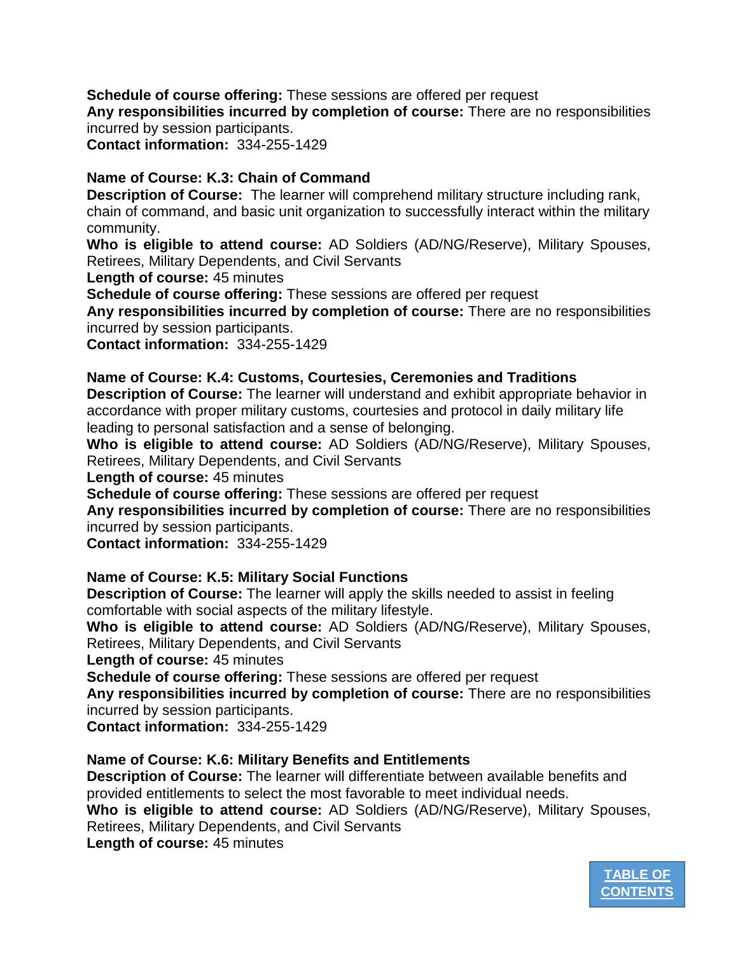**Schedule of course offering:** These sessions are offered per request **Any responsibilities incurred by completion of course:** There are no responsibilities incurred by session participants.

**Contact information:** 334-255-1429

## **Name of Course: K.3: Chain of Command**

**Description of Course:** The learner will comprehend military structure including rank, chain of command, and basic unit organization to successfully interact within the military community.

**Who is eligible to attend course:** AD Soldiers (AD/NG/Reserve), Military Spouses, Retirees, Military Dependents, and Civil Servants

**Length of course:** 45 minutes

**Schedule of course offering:** These sessions are offered per request

**Any responsibilities incurred by completion of course:** There are no responsibilities incurred by session participants.

**Contact information:** 334-255-1429

## **Name of Course: K.4: Customs, Courtesies, Ceremonies and Traditions**

**Description of Course:** The learner will understand and exhibit appropriate behavior in accordance with proper military customs, courtesies and protocol in daily military life leading to personal satisfaction and a sense of belonging.

**Who is eligible to attend course:** AD Soldiers (AD/NG/Reserve), Military Spouses, Retirees, Military Dependents, and Civil Servants

**Length of course:** 45 minutes

**Schedule of course offering:** These sessions are offered per request

**Any responsibilities incurred by completion of course:** There are no responsibilities incurred by session participants.

**Contact information:** 334-255-1429

## **Name of Course: K.5: Military Social Functions**

**Description of Course:** The learner will apply the skills needed to assist in feeling comfortable with social aspects of the military lifestyle.

**Who is eligible to attend course:** AD Soldiers (AD/NG/Reserve), Military Spouses, Retirees, Military Dependents, and Civil Servants

**Length of course:** 45 minutes

**Schedule of course offering:** These sessions are offered per request

**Any responsibilities incurred by completion of course:** There are no responsibilities incurred by session participants.

**Contact information:** 334-255-1429

## **Name of Course: K.6: Military Benefits and Entitlements**

**Description of Course:** The learner will differentiate between available benefits and provided entitlements to select the most favorable to meet individual needs.

**Who is eligible to attend course:** AD Soldiers (AD/NG/Reserve), Military Spouses, Retirees, Military Dependents, and Civil Servants

**Length of course:** 45 minutes

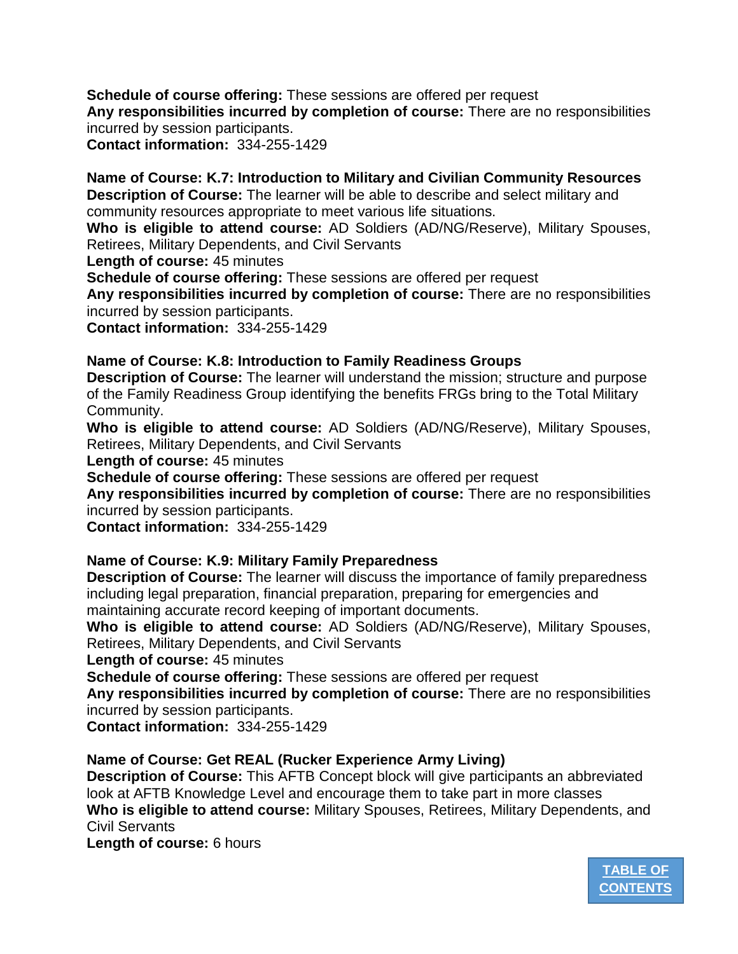**Schedule of course offering:** These sessions are offered per request **Any responsibilities incurred by completion of course:** There are no responsibilities incurred by session participants. **Contact information:** 334-255-1429

**Name of Course: K.7: Introduction to Military and Civilian Community Resources Description of Course:** The learner will be able to describe and select military and community resources appropriate to meet various life situations.

**Who is eligible to attend course:** AD Soldiers (AD/NG/Reserve), Military Spouses, Retirees, Military Dependents, and Civil Servants

**Length of course:** 45 minutes

**Schedule of course offering:** These sessions are offered per request

**Any responsibilities incurred by completion of course:** There are no responsibilities incurred by session participants.

**Contact information:** 334-255-1429

## **Name of Course: K.8: Introduction to Family Readiness Groups**

**Description of Course:** The learner will understand the mission; structure and purpose of the Family Readiness Group identifying the benefits FRGs bring to the Total Military Community.

**Who is eligible to attend course:** AD Soldiers (AD/NG/Reserve), Military Spouses, Retirees, Military Dependents, and Civil Servants

**Length of course:** 45 minutes

**Schedule of course offering:** These sessions are offered per request

**Any responsibilities incurred by completion of course:** There are no responsibilities incurred by session participants.

**Contact information:** 334-255-1429

## **Name of Course: K.9: Military Family Preparedness**

**Description of Course:** The learner will discuss the importance of family preparedness including legal preparation, financial preparation, preparing for emergencies and maintaining accurate record keeping of important documents.

**Who is eligible to attend course:** AD Soldiers (AD/NG/Reserve), Military Spouses, Retirees, Military Dependents, and Civil Servants

**Length of course:** 45 minutes

**Schedule of course offering:** These sessions are offered per request

**Any responsibilities incurred by completion of course:** There are no responsibilities incurred by session participants.

**Contact information:** 334-255-1429

## **Name of Course: Get REAL (Rucker Experience Army Living)**

**Description of Course:** This AFTB Concept block will give participants an abbreviated look at AFTB Knowledge Level and encourage them to take part in more classes **Who is eligible to attend course:** Military Spouses, Retirees, Military Dependents, and Civil Servants

**Length of course:** 6 hours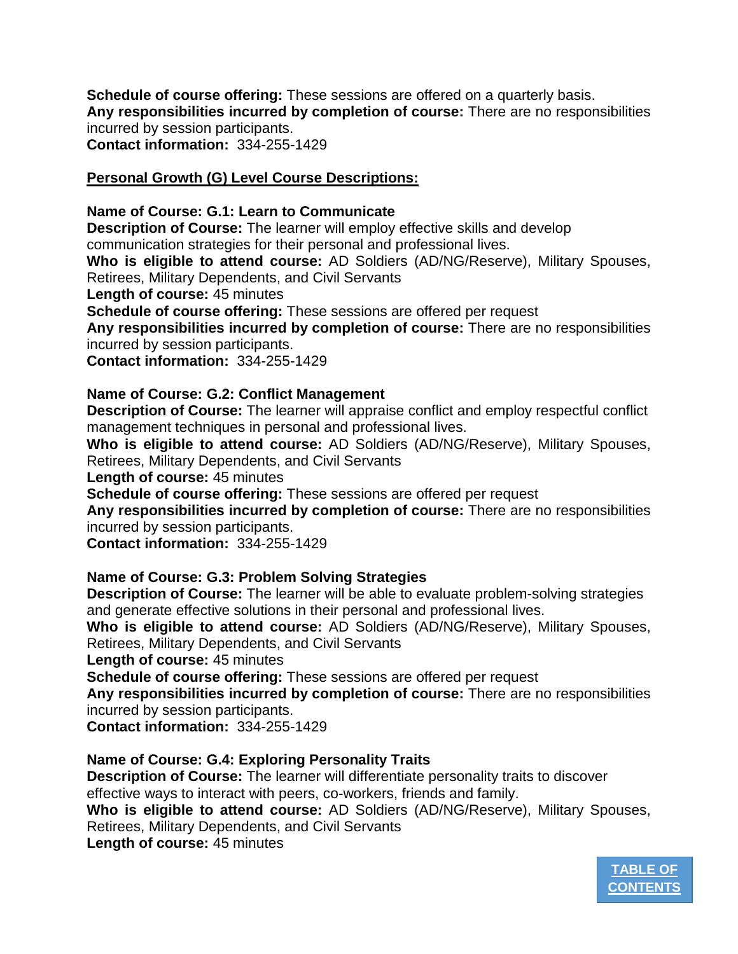**Schedule of course offering:** These sessions are offered on a quarterly basis. **Any responsibilities incurred by completion of course:** There are no responsibilities incurred by session participants. **Contact information:** 334-255-1429

## **Personal Growth (G) Level Course Descriptions:**

#### **Name of Course: G.1: Learn to Communicate**

**Description of Course:** The learner will employ effective skills and develop communication strategies for their personal and professional lives.

**Who is eligible to attend course:** AD Soldiers (AD/NG/Reserve), Military Spouses, Retirees, Military Dependents, and Civil Servants

**Length of course:** 45 minutes

**Schedule of course offering:** These sessions are offered per request

**Any responsibilities incurred by completion of course:** There are no responsibilities incurred by session participants.

**Contact information:** 334-255-1429

## **Name of Course: G.2: Conflict Management**

**Description of Course:** The learner will appraise conflict and employ respectful conflict management techniques in personal and professional lives.

**Who is eligible to attend course:** AD Soldiers (AD/NG/Reserve), Military Spouses, Retirees, Military Dependents, and Civil Servants

**Length of course:** 45 minutes

**Schedule of course offering:** These sessions are offered per request

**Any responsibilities incurred by completion of course:** There are no responsibilities incurred by session participants.

**Contact information:** 334-255-1429

## **Name of Course: G.3: Problem Solving Strategies**

**Description of Course:** The learner will be able to evaluate problem-solving strategies and generate effective solutions in their personal and professional lives.

**Who is eligible to attend course:** AD Soldiers (AD/NG/Reserve), Military Spouses, Retirees, Military Dependents, and Civil Servants

**Length of course:** 45 minutes

**Schedule of course offering:** These sessions are offered per request

**Any responsibilities incurred by completion of course:** There are no responsibilities incurred by session participants.

**Contact information:** 334-255-1429

## **Name of Course: G.4: Exploring Personality Traits**

**Description of Course:** The learner will differentiate personality traits to discover effective ways to interact with peers, co-workers, friends and family.

**Who is eligible to attend course:** AD Soldiers (AD/NG/Reserve), Military Spouses,

Retirees, Military Dependents, and Civil Servants

**Length of course:** 45 minutes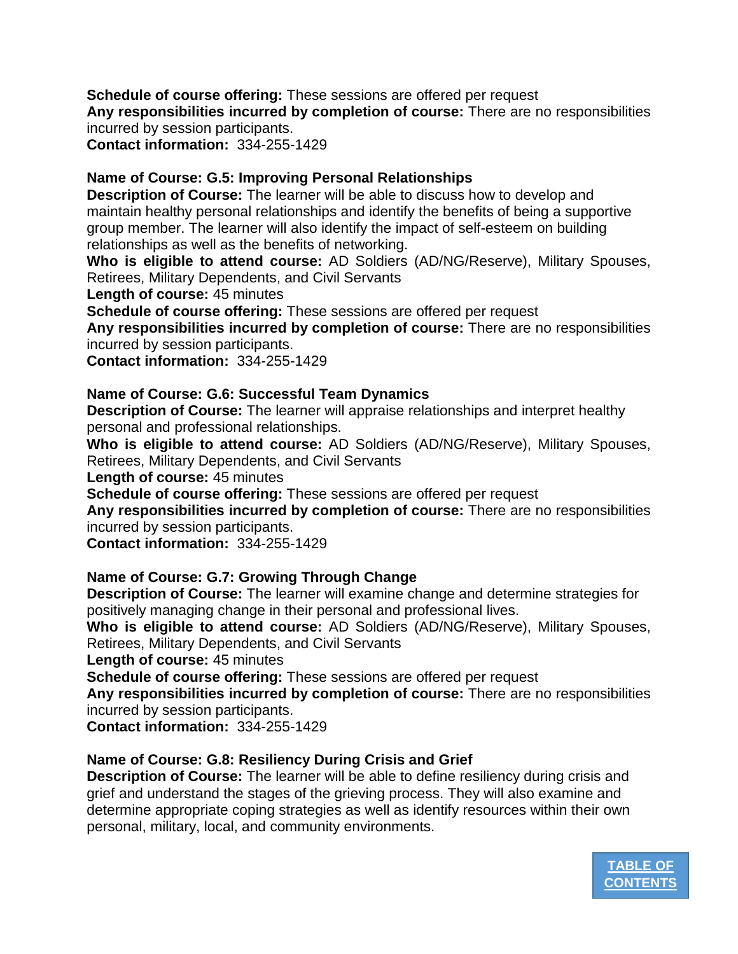**Schedule of course offering:** These sessions are offered per request **Any responsibilities incurred by completion of course:** There are no responsibilities incurred by session participants.

**Contact information:** 334-255-1429

## **Name of Course: G.5: Improving Personal Relationships**

**Description of Course:** The learner will be able to discuss how to develop and maintain healthy personal relationships and identify the benefits of being a supportive group member. The learner will also identify the impact of self-esteem on building relationships as well as the benefits of networking.

**Who is eligible to attend course:** AD Soldiers (AD/NG/Reserve), Military Spouses, Retirees, Military Dependents, and Civil Servants

**Length of course:** 45 minutes

**Schedule of course offering:** These sessions are offered per request

**Any responsibilities incurred by completion of course:** There are no responsibilities incurred by session participants.

**Contact information:** 334-255-1429

## **Name of Course: G.6: Successful Team Dynamics**

**Description of Course:** The learner will appraise relationships and interpret healthy personal and professional relationships.

**Who is eligible to attend course:** AD Soldiers (AD/NG/Reserve), Military Spouses, Retirees, Military Dependents, and Civil Servants

**Length of course:** 45 minutes

**Schedule of course offering:** These sessions are offered per request

**Any responsibilities incurred by completion of course:** There are no responsibilities incurred by session participants.

**Contact information:** 334-255-1429

## **Name of Course: G.7: Growing Through Change**

**Description of Course:** The learner will examine change and determine strategies for positively managing change in their personal and professional lives.

**Who is eligible to attend course:** AD Soldiers (AD/NG/Reserve), Military Spouses, Retirees, Military Dependents, and Civil Servants

**Length of course:** 45 minutes

**Schedule of course offering:** These sessions are offered per request

**Any responsibilities incurred by completion of course:** There are no responsibilities incurred by session participants.

**Contact information:** 334-255-1429

## **Name of Course: G.8: Resiliency During Crisis and Grief**

**Description of Course:** The learner will be able to define resiliency during crisis and grief and understand the stages of the grieving process. They will also examine and determine appropriate coping strategies as well as identify resources within their own personal, military, local, and community environments.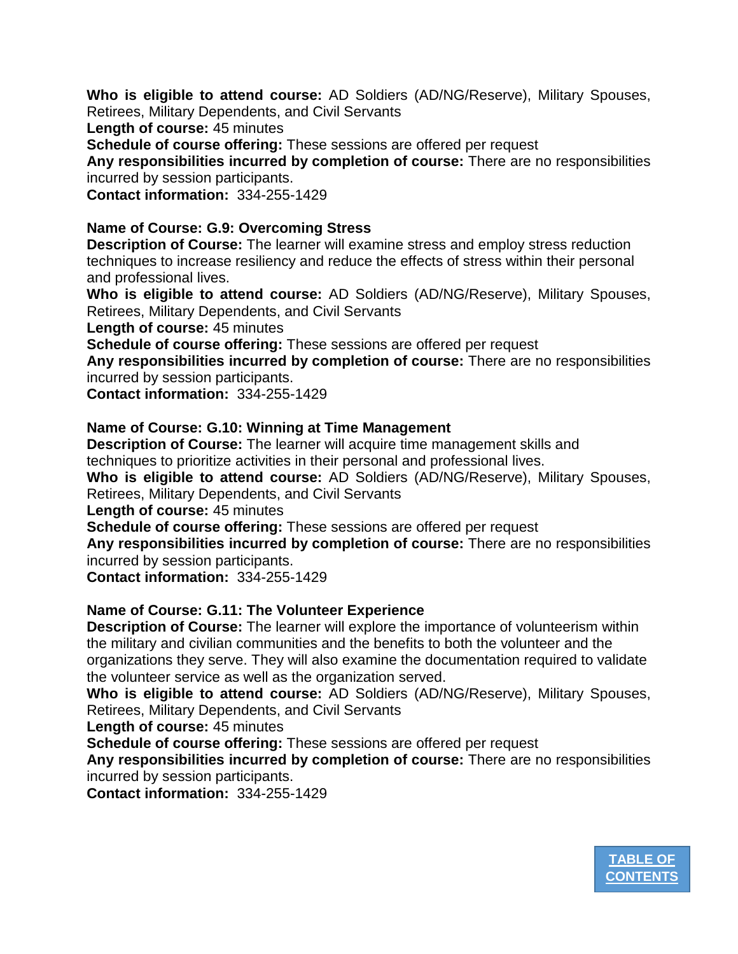**Who is eligible to attend course:** AD Soldiers (AD/NG/Reserve), Military Spouses, Retirees, Military Dependents, and Civil Servants

**Length of course:** 45 minutes

**Schedule of course offering:** These sessions are offered per request

**Any responsibilities incurred by completion of course:** There are no responsibilities incurred by session participants.

**Contact information:** 334-255-1429

#### **Name of Course: G.9: Overcoming Stress**

**Description of Course:** The learner will examine stress and employ stress reduction techniques to increase resiliency and reduce the effects of stress within their personal and professional lives.

**Who is eligible to attend course:** AD Soldiers (AD/NG/Reserve), Military Spouses, Retirees, Military Dependents, and Civil Servants

**Length of course:** 45 minutes

**Schedule of course offering:** These sessions are offered per request

**Any responsibilities incurred by completion of course:** There are no responsibilities incurred by session participants.

**Contact information:** 334-255-1429

## **Name of Course: G.10: Winning at Time Management**

**Description of Course:** The learner will acquire time management skills and techniques to prioritize activities in their personal and professional lives.

**Who is eligible to attend course:** AD Soldiers (AD/NG/Reserve), Military Spouses, Retirees, Military Dependents, and Civil Servants

**Length of course:** 45 minutes

**Schedule of course offering:** These sessions are offered per request

**Any responsibilities incurred by completion of course:** There are no responsibilities incurred by session participants.

**Contact information:** 334-255-1429

## **Name of Course: G.11: The Volunteer Experience**

**Description of Course:** The learner will explore the importance of volunteerism within the military and civilian communities and the benefits to both the volunteer and the organizations they serve. They will also examine the documentation required to validate the volunteer service as well as the organization served.

**Who is eligible to attend course:** AD Soldiers (AD/NG/Reserve), Military Spouses, Retirees, Military Dependents, and Civil Servants

**Length of course:** 45 minutes

**Schedule of course offering:** These sessions are offered per request

**Any responsibilities incurred by completion of course:** There are no responsibilities incurred by session participants.

**Contact information:** 334-255-1429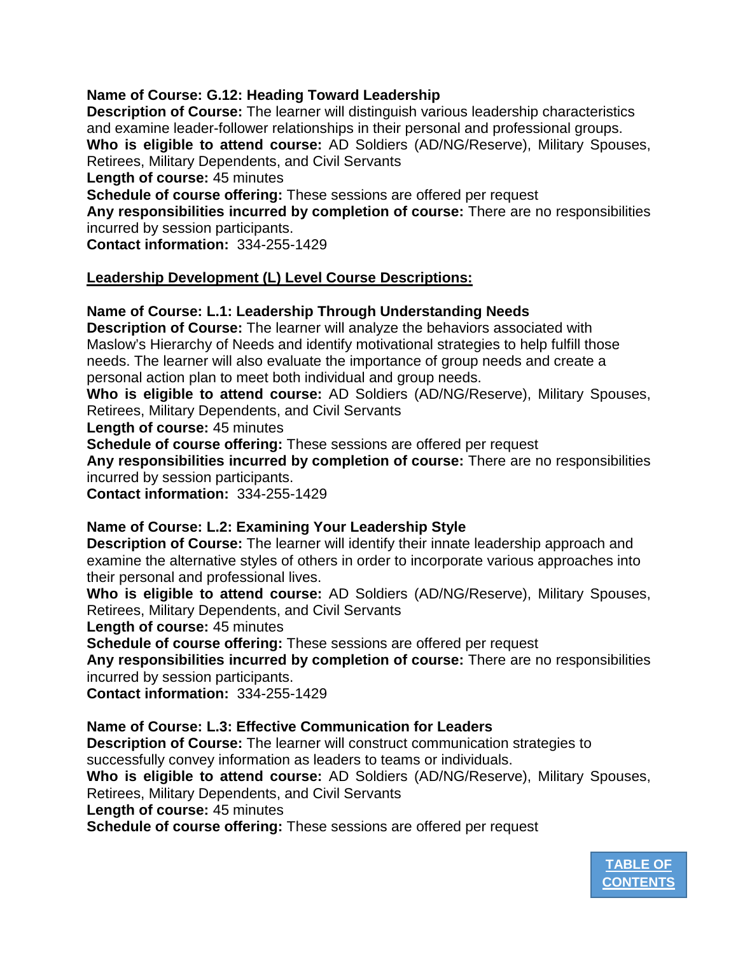## **Name of Course: G.12: Heading Toward Leadership**

**Description of Course:** The learner will distinguish various leadership characteristics and examine leader-follower relationships in their personal and professional groups. **Who is eligible to attend course:** AD Soldiers (AD/NG/Reserve), Military Spouses, Retirees, Military Dependents, and Civil Servants

**Length of course:** 45 minutes

**Schedule of course offering:** These sessions are offered per request

**Any responsibilities incurred by completion of course:** There are no responsibilities incurred by session participants.

**Contact information:** 334-255-1429

## **Leadership Development (L) Level Course Descriptions:**

## **Name of Course: L.1: Leadership Through Understanding Needs**

**Description of Course:** The learner will analyze the behaviors associated with Maslow's Hierarchy of Needs and identify motivational strategies to help fulfill those needs. The learner will also evaluate the importance of group needs and create a personal action plan to meet both individual and group needs.

**Who is eligible to attend course:** AD Soldiers (AD/NG/Reserve), Military Spouses, Retirees, Military Dependents, and Civil Servants

**Length of course:** 45 minutes

**Schedule of course offering:** These sessions are offered per request

**Any responsibilities incurred by completion of course:** There are no responsibilities incurred by session participants.

**Contact information:** 334-255-1429

## **Name of Course: L.2: Examining Your Leadership Style**

**Description of Course:** The learner will identify their innate leadership approach and examine the alternative styles of others in order to incorporate various approaches into their personal and professional lives.

**Who is eligible to attend course:** AD Soldiers (AD/NG/Reserve), Military Spouses, Retirees, Military Dependents, and Civil Servants

**Length of course:** 45 minutes

**Schedule of course offering:** These sessions are offered per request

**Any responsibilities incurred by completion of course:** There are no responsibilities incurred by session participants.

**Contact information:** 334-255-1429

## **Name of Course: L.3: Effective Communication for Leaders**

**Description of Course:** The learner will construct communication strategies to successfully convey information as leaders to teams or individuals.

**Who is eligible to attend course:** AD Soldiers (AD/NG/Reserve), Military Spouses, Retirees, Military Dependents, and Civil Servants

**Length of course:** 45 minutes

**Schedule of course offering:** These sessions are offered per request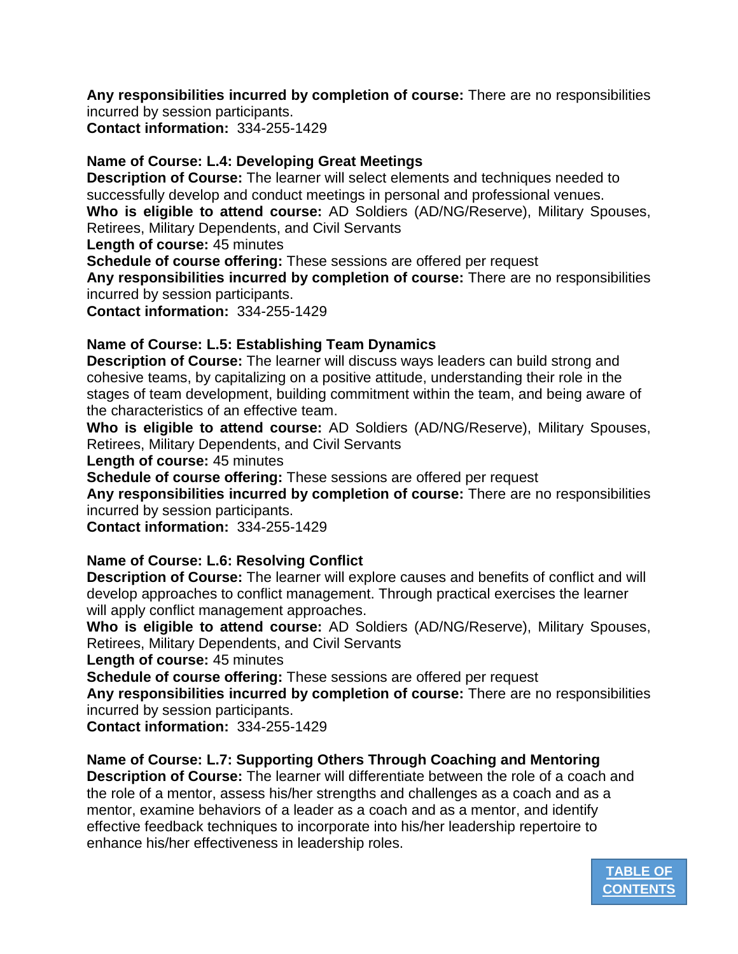**Any responsibilities incurred by completion of course:** There are no responsibilities incurred by session participants.

**Contact information:** 334-255-1429

## **Name of Course: L.4: Developing Great Meetings**

**Description of Course:** The learner will select elements and techniques needed to successfully develop and conduct meetings in personal and professional venues. **Who is eligible to attend course:** AD Soldiers (AD/NG/Reserve), Military Spouses, Retirees, Military Dependents, and Civil Servants

**Length of course:** 45 minutes

**Schedule of course offering:** These sessions are offered per request

**Any responsibilities incurred by completion of course:** There are no responsibilities incurred by session participants.

**Contact information:** 334-255-1429

## **Name of Course: L.5: Establishing Team Dynamics**

**Description of Course:** The learner will discuss ways leaders can build strong and cohesive teams, by capitalizing on a positive attitude, understanding their role in the stages of team development, building commitment within the team, and being aware of the characteristics of an effective team.

**Who is eligible to attend course:** AD Soldiers (AD/NG/Reserve), Military Spouses, Retirees, Military Dependents, and Civil Servants

**Length of course:** 45 minutes

**Schedule of course offering:** These sessions are offered per request

**Any responsibilities incurred by completion of course:** There are no responsibilities incurred by session participants.

**Contact information:** 334-255-1429

## **Name of Course: L.6: Resolving Conflict**

**Description of Course:** The learner will explore causes and benefits of conflict and will develop approaches to conflict management. Through practical exercises the learner will apply conflict management approaches.

**Who is eligible to attend course:** AD Soldiers (AD/NG/Reserve), Military Spouses, Retirees, Military Dependents, and Civil Servants

**Length of course:** 45 minutes

**Schedule of course offering:** These sessions are offered per request

**Any responsibilities incurred by completion of course:** There are no responsibilities incurred by session participants.

**Contact information:** 334-255-1429

# **Name of Course: L.7: Supporting Others Through Coaching and Mentoring**

**Description of Course:** The learner will differentiate between the role of a coach and the role of a mentor, assess his/her strengths and challenges as a coach and as a mentor, examine behaviors of a leader as a coach and as a mentor, and identify effective feedback techniques to incorporate into his/her leadership repertoire to enhance his/her effectiveness in leadership roles.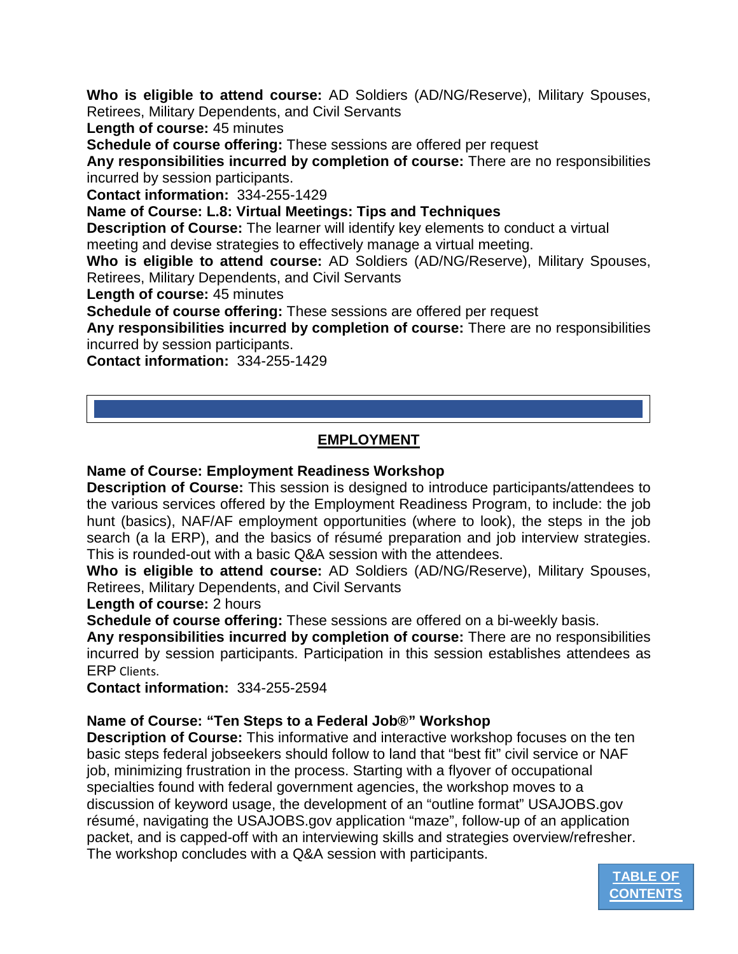**Who is eligible to attend course:** AD Soldiers (AD/NG/Reserve), Military Spouses, Retirees, Military Dependents, and Civil Servants

**Length of course:** 45 minutes

**Schedule of course offering:** These sessions are offered per request

**Any responsibilities incurred by completion of course:** There are no responsibilities incurred by session participants.

**Contact information:** 334-255-1429

**Name of Course: L.8: Virtual Meetings: Tips and Techniques** 

**Description of Course:** The learner will identify key elements to conduct a virtual meeting and devise strategies to effectively manage a virtual meeting.

**Who is eligible to attend course:** AD Soldiers (AD/NG/Reserve), Military Spouses, Retirees, Military Dependents, and Civil Servants

**Length of course:** 45 minutes

**Schedule of course offering:** These sessions are offered per request

**Any responsibilities incurred by completion of course:** There are no responsibilities incurred by session participants.

**Contact information:** 334-255-1429

## **EMPLOYMENT**

## <span id="page-9-0"></span>**Name of Course: Employment Readiness Workshop**

**Description of Course:** This session is designed to introduce participants/attendees to the various services offered by the Employment Readiness Program, to include: the job hunt (basics), NAF/AF employment opportunities (where to look), the steps in the job search (a la ERP), and the basics of résumé preparation and job interview strategies. This is rounded-out with a basic Q&A session with the attendees.

**Who is eligible to attend course:** AD Soldiers (AD/NG/Reserve), Military Spouses, Retirees, Military Dependents, and Civil Servants

**Length of course:** 2 hours

**Schedule of course offering:** These sessions are offered on a bi-weekly basis.

**Any responsibilities incurred by completion of course:** There are no responsibilities incurred by session participants. Participation in this session establishes attendees as ERP Clients.

**Contact information:** 334-255-2594

## **Name of Course: "Ten Steps to a Federal Job®" Workshop**

**Description of Course:** This informative and interactive workshop focuses on the ten basic steps federal jobseekers should follow to land that "best fit" civil service or NAF job, minimizing frustration in the process. Starting with a flyover of occupational specialties found with federal government agencies, the workshop moves to a discussion of keyword usage, the development of an "outline format" USAJOBS.gov résumé, navigating the USAJOBS.gov application "maze", follow-up of an application packet, and is capped-off with an interviewing skills and strategies overview/refresher. The workshop concludes with a Q&A session with participants.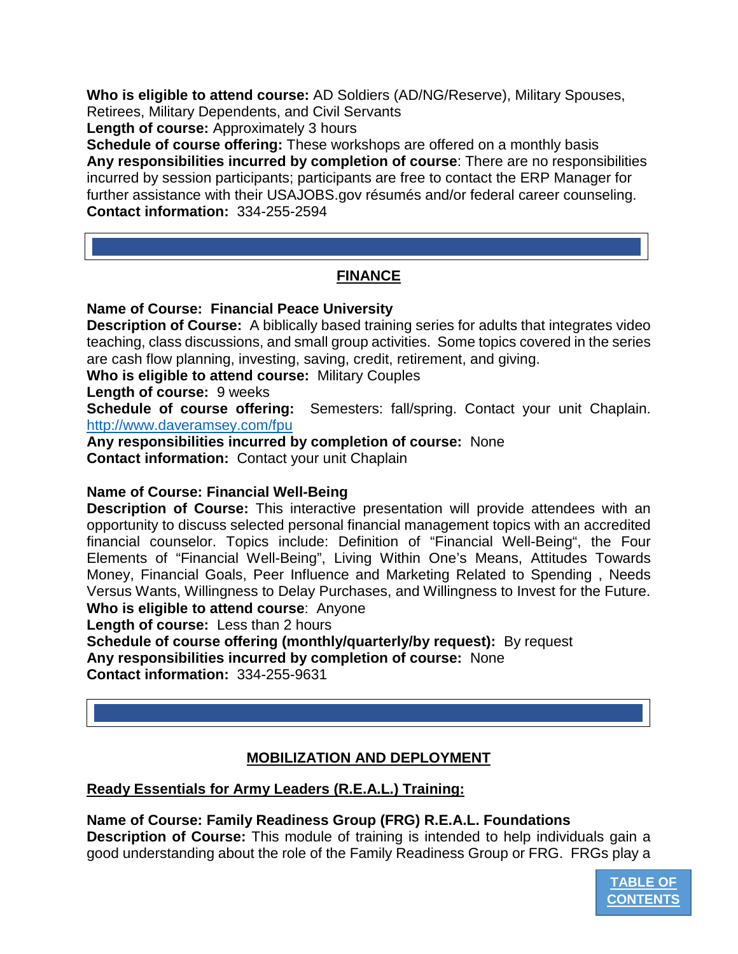**Who is eligible to attend course:** AD Soldiers (AD/NG/Reserve), Military Spouses, Retirees, Military Dependents, and Civil Servants

**Length of course:** Approximately 3 hours

**Schedule of course offering:** These workshops are offered on a monthly basis **Any responsibilities incurred by completion of course**: There are no responsibilities incurred by session participants; participants are free to contact the ERP Manager for further assistance with their USAJOBS.gov résumés and/or federal career counseling. **Contact information:** 334-255-2594

## **FINANCE**

## <span id="page-10-0"></span>**Name of Course: Financial Peace University**

**Description of Course:** A biblically based training series for adults that integrates video teaching, class discussions, and small group activities. Some topics covered in the series are cash flow planning, investing, saving, credit, retirement, and giving.

**Who is eligible to attend course:** Military Couples

**Length of course:** 9 weeks

**Schedule of course offering:** Semesters: fall/spring. Contact your unit Chaplain. <http://www.daveramsey.com/fpu>

**Any responsibilities incurred by completion of course:** None **Contact information:** Contact your unit Chaplain

## **Name of Course: Financial Well-Being**

**Description of Course:** This interactive presentation will provide attendees with an opportunity to discuss selected personal financial management topics with an accredited financial counselor. Topics include: Definition of "Financial Well-Being", the Four Elements of "Financial Well-Being", Living Within One's Means, Attitudes Towards Money, Financial Goals, Peer Influence and Marketing Related to Spending , Needs Versus Wants, Willingness to Delay Purchases, and Willingness to Invest for the Future.

**Who is eligible to attend course**: Anyone

**Length of course:** Less than 2 hours

**Schedule of course offering (monthly/quarterly/by request):** By request **Any responsibilities incurred by completion of course:** None **Contact information:** 334-255-9631

## **MOBILIZATION AND DEPLOYMENT**

## <span id="page-10-1"></span>**Ready Essentials for Army Leaders (R.E.A.L.) Training:**

**Name of Course: Family Readiness Group (FRG) R.E.A.L. Foundations**

**Description of Course:** This module of training is intended to help individuals gain a good understanding about the role of the Family Readiness Group or FRG. FRGs play a

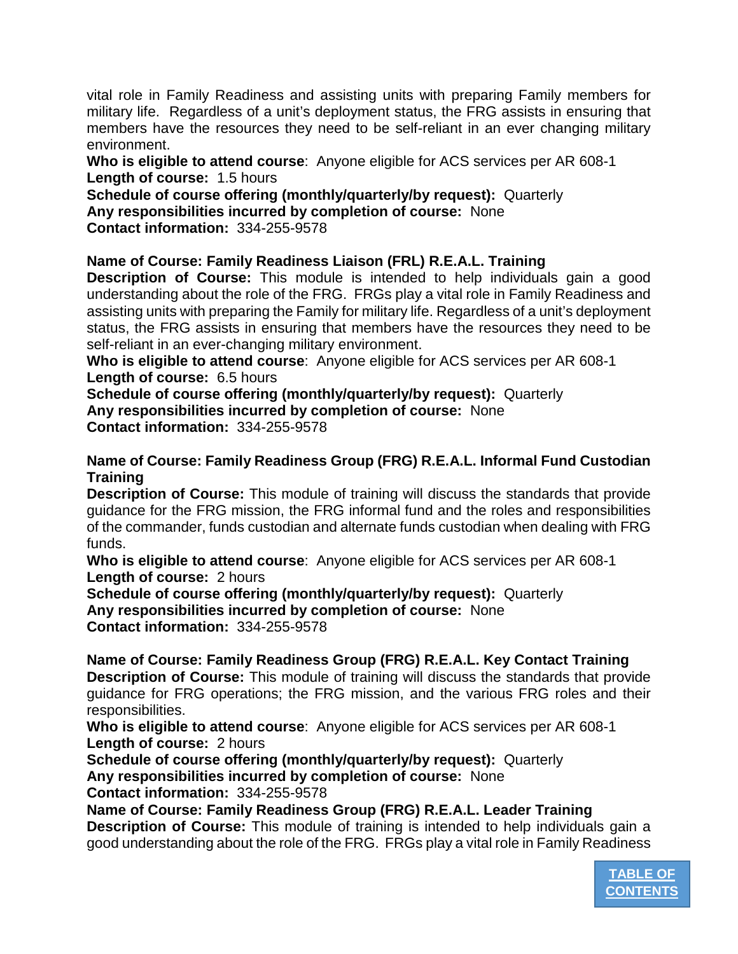vital role in Family Readiness and assisting units with preparing Family members for military life. Regardless of a unit's deployment status, the FRG assists in ensuring that members have the resources they need to be self-reliant in an ever changing military environment.

**Who is eligible to attend course**: Anyone eligible for ACS services per AR 608-1 **Length of course:** 1.5 hours

**Schedule of course offering (monthly/quarterly/by request):** Quarterly **Any responsibilities incurred by completion of course:** None **Contact information:** 334-255-9578

# **Name of Course: Family Readiness Liaison (FRL) R.E.A.L. Training**

**Description of Course:** This module is intended to help individuals gain a good understanding about the role of the FRG. FRGs play a vital role in Family Readiness and assisting units with preparing the Family for military life. Regardless of a unit's deployment status, the FRG assists in ensuring that members have the resources they need to be self-reliant in an ever-changing military environment.

**Who is eligible to attend course**: Anyone eligible for ACS services per AR 608-1 **Length of course:** 6.5 hours

**Schedule of course offering (monthly/quarterly/by request):** Quarterly **Any responsibilities incurred by completion of course:** None **Contact information:** 334-255-9578

## **Name of Course: Family Readiness Group (FRG) R.E.A.L. Informal Fund Custodian Training**

**Description of Course:** This module of training will discuss the standards that provide guidance for the FRG mission, the FRG informal fund and the roles and responsibilities of the commander, funds custodian and alternate funds custodian when dealing with FRG funds.

**Who is eligible to attend course**: Anyone eligible for ACS services per AR 608-1 **Length of course:** 2 hours

**Schedule of course offering (monthly/quarterly/by request):** Quarterly **Any responsibilities incurred by completion of course:** None **Contact information:** 334-255-9578

**Name of Course: Family Readiness Group (FRG) R.E.A.L. Key Contact Training Description of Course:** This module of training will discuss the standards that provide guidance for FRG operations; the FRG mission, and the various FRG roles and their responsibilities.

**Who is eligible to attend course**: Anyone eligible for ACS services per AR 608-1 **Length of course:** 2 hours

**Schedule of course offering (monthly/quarterly/by request):** Quarterly **Any responsibilities incurred by completion of course:** None

**Contact information:** 334-255-9578

**Name of Course: Family Readiness Group (FRG) R.E.A.L. Leader Training**

**Description of Course:** This module of training is intended to help individuals gain a good understanding about the role of the FRG. FRGs play a vital role in Family Readiness

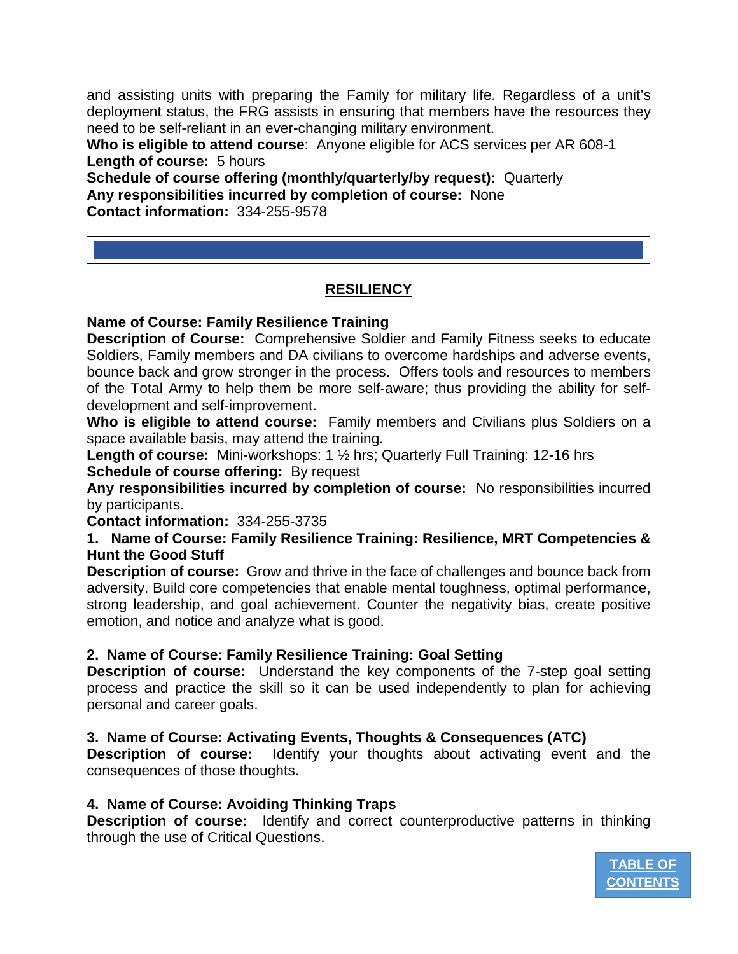and assisting units with preparing the Family for military life. Regardless of a unit's deployment status, the FRG assists in ensuring that members have the resources they need to be self-reliant in an ever-changing military environment.

**Who is eligible to attend course**: Anyone eligible for ACS services per AR 608-1 **Length of course:** 5 hours

**Schedule of course offering (monthly/quarterly/by request):** Quarterly **Any responsibilities incurred by completion of course:** None **Contact information:** 334-255-9578

# **RESILIENCY**

<span id="page-12-0"></span>**Name of Course: Family Resilience Training**

**Description of Course:** Comprehensive Soldier and Family Fitness seeks to educate Soldiers, Family members and DA civilians to overcome hardships and adverse events, bounce back and grow stronger in the process. Offers tools and resources to members of the Total Army to help them be more self-aware; thus providing the ability for selfdevelopment and self-improvement.

**Who is eligible to attend course:** Family members and Civilians plus Soldiers on a space available basis, may attend the training.

**Length of course:** Mini-workshops: 1 ½ hrs; Quarterly Full Training: 12-16 hrs **Schedule of course offering:** By request

**Any responsibilities incurred by completion of course:** No responsibilities incurred by participants.

**Contact information:** 334-255-3735

**1. Name of Course: Family Resilience Training: Resilience, MRT Competencies & Hunt the Good Stuff**

**Description of course:** Grow and thrive in the face of challenges and bounce back from adversity. Build core competencies that enable mental toughness, optimal performance, strong leadership, and goal achievement. Counter the negativity bias, create positive emotion, and notice and analyze what is good.

## **2. Name of Course: Family Resilience Training: Goal Setting**

**Description of course:** Understand the key components of the 7-step goal setting process and practice the skill so it can be used independently to plan for achieving personal and career goals.

## **3. Name of Course: Activating Events, Thoughts & Consequences (ATC)**

**Description of course:** Identify your thoughts about activating event and the consequences of those thoughts.

## **4. Name of Course: Avoiding Thinking Traps**

**Description of course:** Identify and correct counterproductive patterns in thinking through the use of Critical Questions.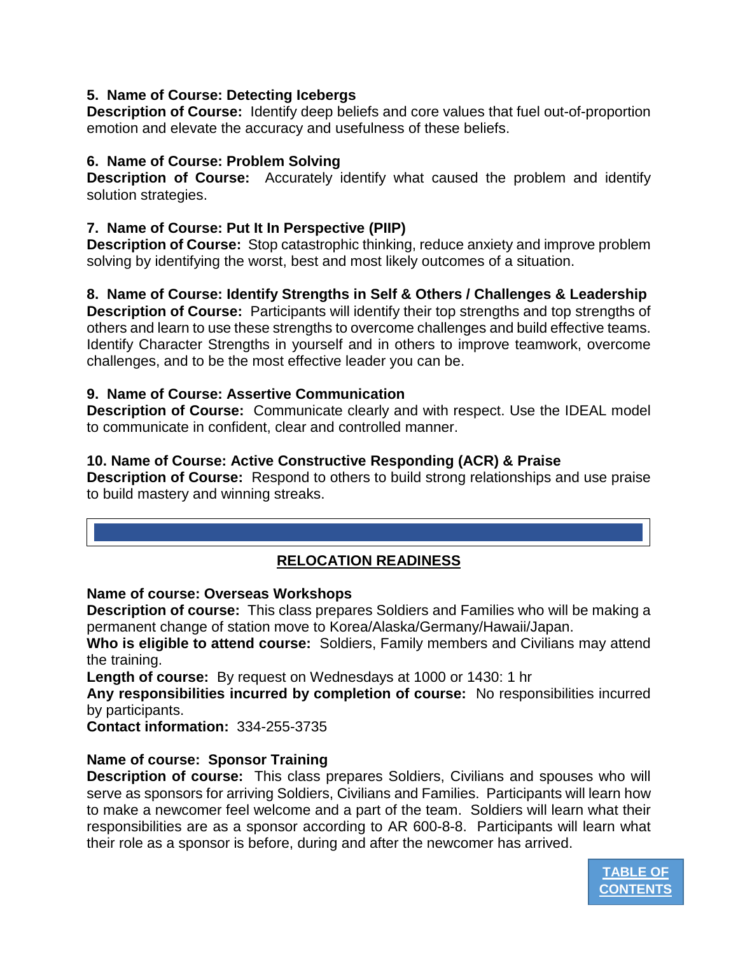## **5. Name of Course: Detecting Icebergs**

**Description of Course:** Identify deep beliefs and core values that fuel out-of-proportion emotion and elevate the accuracy and usefulness of these beliefs.

## **6. Name of Course: Problem Solving**

**Description of Course:** Accurately identify what caused the problem and identify solution strategies.

## **7. Name of Course: Put It In Perspective (PIIP)**

**Description of Course:** Stop catastrophic thinking, reduce anxiety and improve problem solving by identifying the worst, best and most likely outcomes of a situation.

## **8. Name of Course: Identify Strengths in Self & Others / Challenges & Leadership**

**Description of Course:** Participants will identify their top strengths and top strengths of others and learn to use these strengths to overcome challenges and build effective teams. Identify Character Strengths in yourself and in others to improve teamwork, overcome challenges, and to be the most effective leader you can be.

## **9. Name of Course: Assertive Communication**

**Description of Course:** Communicate clearly and with respect. Use the IDEAL model to communicate in confident, clear and controlled manner.

## **10. Name of Course: Active Constructive Responding (ACR) & Praise**

**Description of Course:** Respond to others to build strong relationships and use praise to build mastery and winning streaks.

## **RELOCATION READINESS**

## <span id="page-13-0"></span>**Name of course: Overseas Workshops**

**Description of course:** This class prepares Soldiers and Families who will be making a permanent change of station move to Korea/Alaska/Germany/Hawaii/Japan.

**Who is eligible to attend course:** Soldiers, Family members and Civilians may attend the training.

**Length of course:** By request on Wednesdays at 1000 or 1430: 1 hr

**Any responsibilities incurred by completion of course:** No responsibilities incurred by participants.

**Contact information:** 334-255-3735

## **Name of course: Sponsor Training**

**Description of course:** This class prepares Soldiers, Civilians and spouses who will serve as sponsors for arriving Soldiers, Civilians and Families. Participants will learn how to make a newcomer feel welcome and a part of the team. Soldiers will learn what their responsibilities are as a sponsor according to AR 600-8-8. Participants will learn what their role as a sponsor is before, during and after the newcomer has arrived.

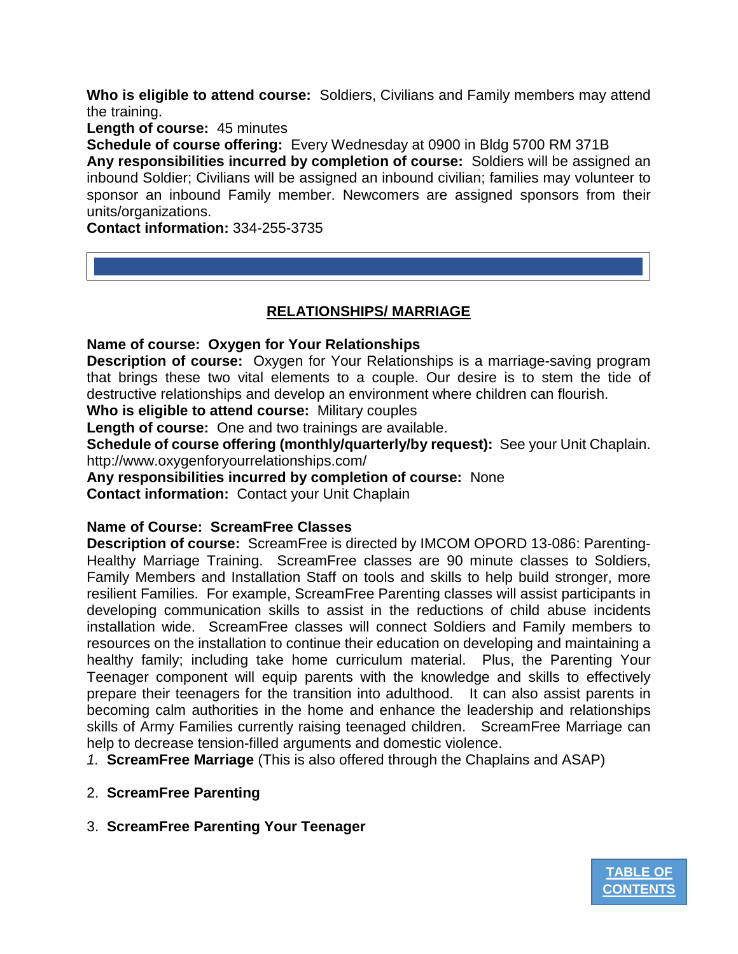**Who is eligible to attend course:** Soldiers, Civilians and Family members may attend the training.

**Length of course:** 45 minutes

**Schedule of course offering:** Every Wednesday at 0900 in Bldg 5700 RM 371B **Any responsibilities incurred by completion of course:** Soldiers will be assigned an inbound Soldier; Civilians will be assigned an inbound civilian; families may volunteer to sponsor an inbound Family member. Newcomers are assigned sponsors from their units/organizations.

**Contact information:** 334-255-3735

## **RELATIONSHIPS/ MARRIAGE**

<span id="page-14-0"></span>**Name of course: Oxygen for Your Relationships**

**Description of course:** Oxygen for Your Relationships is a marriage-saving program that brings these two vital elements to a couple. Our desire is to stem the tide of destructive relationships and develop an environment where children can flourish.

**Who is eligible to attend course:** Military couples

**Length of course:** One and two trainings are available.

**Schedule of course offering (monthly/quarterly/by request):** See your Unit Chaplain. http://www.oxygenforyourrelationships.com/

**Any responsibilities incurred by completion of course:** None

**Contact information:** Contact your Unit Chaplain

## **Name of Course: ScreamFree Classes**

**Description of course:** ScreamFree is directed by IMCOM OPORD 13-086: Parenting-Healthy Marriage Training. ScreamFree classes are 90 minute classes to Soldiers, Family Members and Installation Staff on tools and skills to help build stronger, more resilient Families. For example, ScreamFree Parenting classes will assist participants in developing communication skills to assist in the reductions of child abuse incidents installation wide. ScreamFree classes will connect Soldiers and Family members to resources on the installation to continue their education on developing and maintaining a healthy family; including take home curriculum material. Plus, the Parenting Your Teenager component will equip parents with the knowledge and skills to effectively prepare their teenagers for the transition into adulthood. It can also assist parents in becoming calm authorities in the home and enhance the leadership and relationships skills of Army Families currently raising teenaged children. ScreamFree Marriage can help to decrease tension-filled arguments and domestic violence.

*1.* **ScreamFree Marriage** (This is also offered through the Chaplains and ASAP)

- 2. **ScreamFree Parenting**
- 3. **ScreamFree Parenting Your Teenager**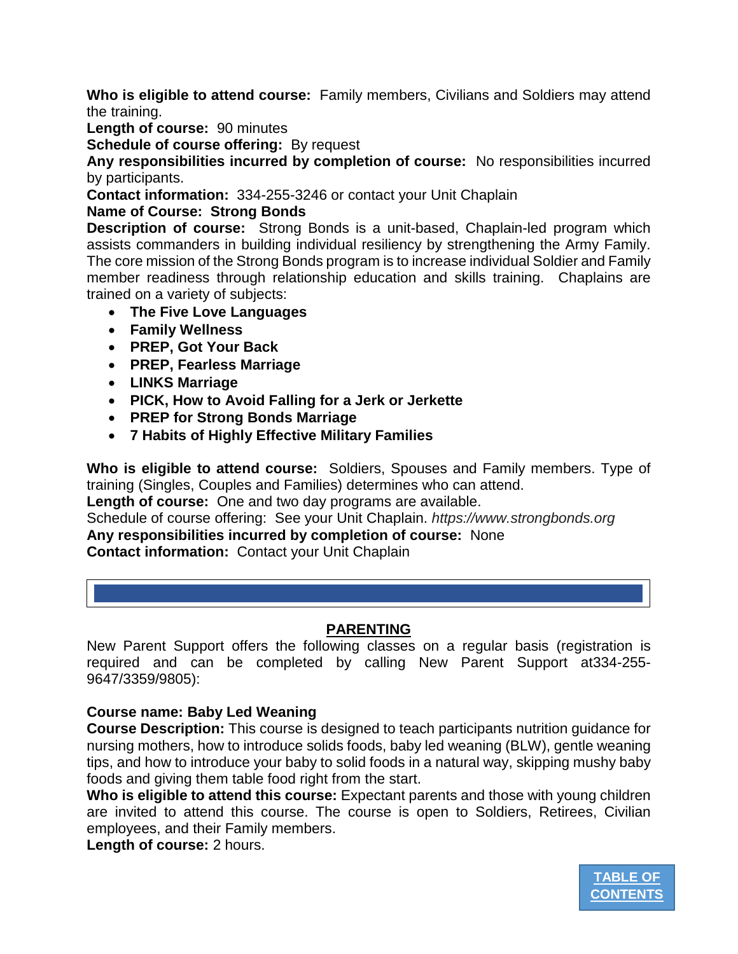**Who is eligible to attend course:** Family members, Civilians and Soldiers may attend the training.

**Length of course:** 90 minutes

**Schedule of course offering:** By request

**Any responsibilities incurred by completion of course:** No responsibilities incurred by participants.

**Contact information:** 334-255-3246 or contact your Unit Chaplain

## **Name of Course: Strong Bonds**

**Description of course:** Strong Bonds is a unit-based, Chaplain-led program which assists commanders in building individual resiliency by strengthening the Army Family. The core mission of the Strong Bonds program is to increase individual Soldier and Family member readiness through relationship education and skills training. Chaplains are trained on a variety of subjects:

- **The Five Love Languages**
- **Family Wellness**
- **PREP, Got Your Back**
- **PREP, Fearless Marriage**
- **LINKS Marriage**
- **PICK, How to Avoid Falling for a Jerk or Jerkette**
- **PREP for Strong Bonds Marriage**
- **7 Habits of Highly Effective Military Families**

**Who is eligible to attend course:** Soldiers, Spouses and Family members. Type of training (Singles, Couples and Families) determines who can attend.

**Length of course:** One and two day programs are available.

Schedule of course offering: See your Unit Chaplain. *https://www.strongbonds.org* **Any responsibilities incurred by completion of course:** None

**Contact information:** Contact your Unit Chaplain

## **PARENTING**

<span id="page-15-0"></span>New Parent Support offers the following classes on a regular basis (registration is required and can be completed by calling New Parent Support at334-255- 9647/3359/9805):

## **Course name: Baby Led Weaning**

**Course Description:** This course is designed to teach participants nutrition guidance for nursing mothers, how to introduce solids foods, baby led weaning (BLW), gentle weaning tips, and how to introduce your baby to solid foods in a natural way, skipping mushy baby foods and giving them table food right from the start.

**Who is eligible to attend this course:** Expectant parents and those with young children are invited to attend this course. The course is open to Soldiers, Retirees, Civilian employees, and their Family members.

**Length of course:** 2 hours.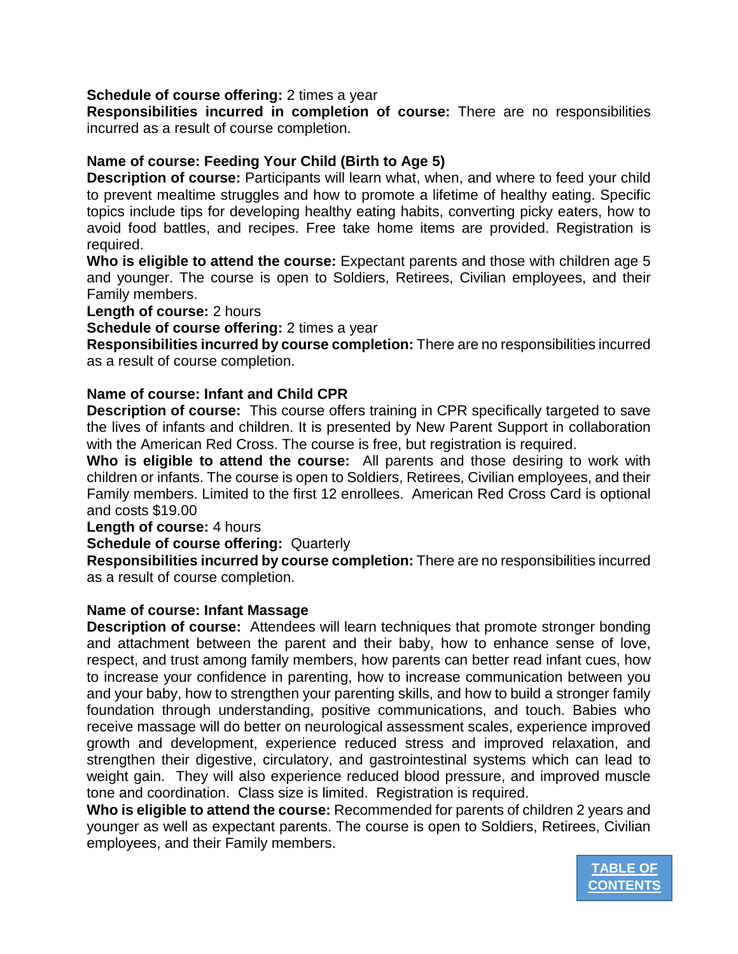#### **Schedule of course offering:** 2 times a year

**Responsibilities incurred in completion of course:** There are no responsibilities incurred as a result of course completion.

## **Name of course: Feeding Your Child (Birth to Age 5)**

**Description of course:** Participants will learn what, when, and where to feed your child to prevent mealtime struggles and how to promote a lifetime of healthy eating. Specific topics include tips for developing healthy eating habits, converting picky eaters, how to avoid food battles, and recipes. Free take home items are provided. Registration is required.

**Who is eligible to attend the course:** Expectant parents and those with children age 5 and younger. The course is open to Soldiers, Retirees, Civilian employees, and their Family members.

**Length of course:** 2 hours

**Schedule of course offering:** 2 times a year

**Responsibilities incurred by course completion:** There are no responsibilities incurred as a result of course completion.

#### **Name of course: Infant and Child CPR**

**Description of course:** This course offers training in CPR specifically targeted to save the lives of infants and children. It is presented by New Parent Support in collaboration with the American Red Cross. The course is free, but registration is required.

**Who is eligible to attend the course:** All parents and those desiring to work with children or infants. The course is open to Soldiers, Retirees, Civilian employees, and their Family members. Limited to the first 12 enrollees. American Red Cross Card is optional and costs \$19.00

**Length of course:** 4 hours

**Schedule of course offering:** Quarterly

**Responsibilities incurred by course completion:** There are no responsibilities incurred as a result of course completion.

#### **Name of course: Infant Massage**

**Description of course:** Attendees will learn techniques that promote stronger bonding and attachment between the parent and their baby, how to enhance sense of love, respect, and trust among family members, how parents can better read infant cues, how to increase your confidence in parenting, how to increase communication between you and your baby, how to strengthen your parenting skills, and how to build a stronger family foundation through understanding, positive communications, and touch. Babies who receive massage will do better on neurological assessment scales, experience improved growth and development, experience reduced stress and improved relaxation, and strengthen their digestive, circulatory, and gastrointestinal systems which can lead to weight gain. They will also experience reduced blood pressure, and improved muscle tone and coordination. Class size is limited. Registration is required.

**Who is eligible to attend the course:** Recommended for parents of children 2 years and younger as well as expectant parents. The course is open to Soldiers, Retirees, Civilian employees, and their Family members.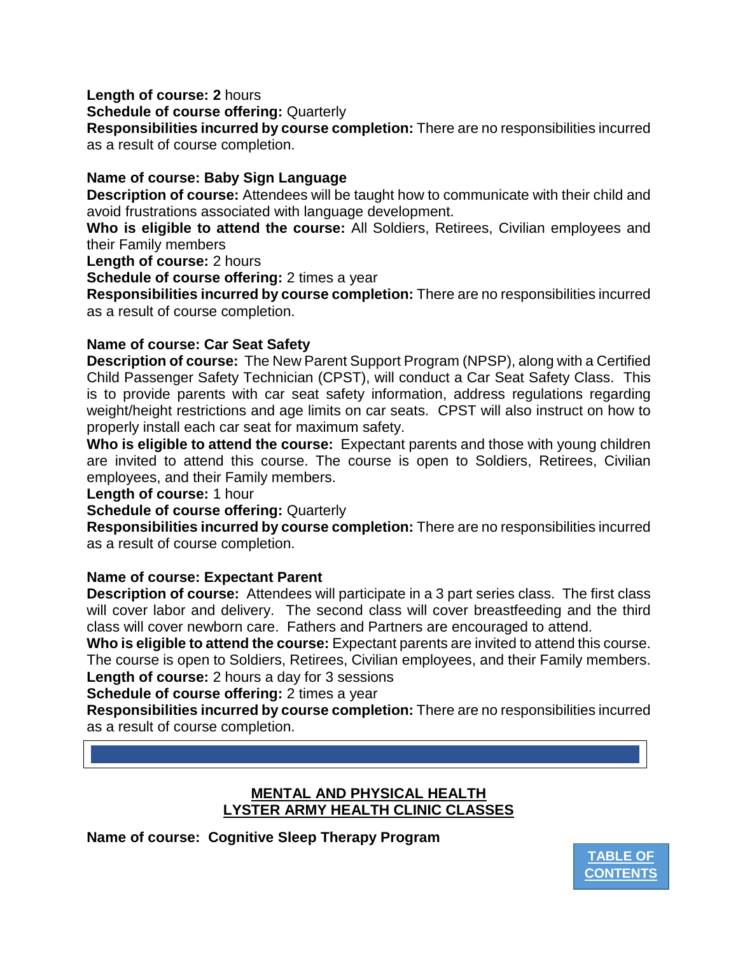**Length of course: 2** hours

**Schedule of course offering:** Quarterly

**Responsibilities incurred by course completion:** There are no responsibilities incurred as a result of course completion.

## **Name of course: Baby Sign Language**

**Description of course:** Attendees will be taught how to communicate with their child and avoid frustrations associated with language development.

**Who is eligible to attend the course:** All Soldiers, Retirees, Civilian employees and their Family members

**Length of course:** 2 hours

**Schedule of course offering:** 2 times a year

**Responsibilities incurred by course completion:** There are no responsibilities incurred as a result of course completion.

## **Name of course: Car Seat Safety**

**Description of course:** The New Parent Support Program (NPSP), along with a Certified Child Passenger Safety Technician (CPST), will conduct a Car Seat Safety Class. This is to provide parents with car seat safety information, address regulations regarding weight/height restrictions and age limits on car seats. CPST will also instruct on how to properly install each car seat for maximum safety.

**Who is eligible to attend the course:** Expectant parents and those with young children are invited to attend this course. The course is open to Soldiers, Retirees, Civilian employees, and their Family members.

**Length of course:** 1 hour

**Schedule of course offering:** Quarterly

**Responsibilities incurred by course completion:** There are no responsibilities incurred as a result of course completion.

## **Name of course: Expectant Parent**

**Description of course:** Attendees will participate in a 3 part series class. The first class will cover labor and delivery. The second class will cover breastfeeding and the third class will cover newborn care. Fathers and Partners are encouraged to attend.

**Who is eligible to attend the course:** Expectant parents are invited to attend this course. The course is open to Soldiers, Retirees, Civilian employees, and their Family members. **Length of course:** 2 hours a day for 3 sessions

**Schedule of course offering:** 2 times a year

**Responsibilities incurred by course completion:** There are no responsibilities incurred as a result of course completion.

## **MENTAL AND PHYSICAL HEALTH LYSTER ARMY HEALTH CLINIC CLASSES**

<span id="page-17-0"></span>**Name of course: Cognitive Sleep Therapy Program**

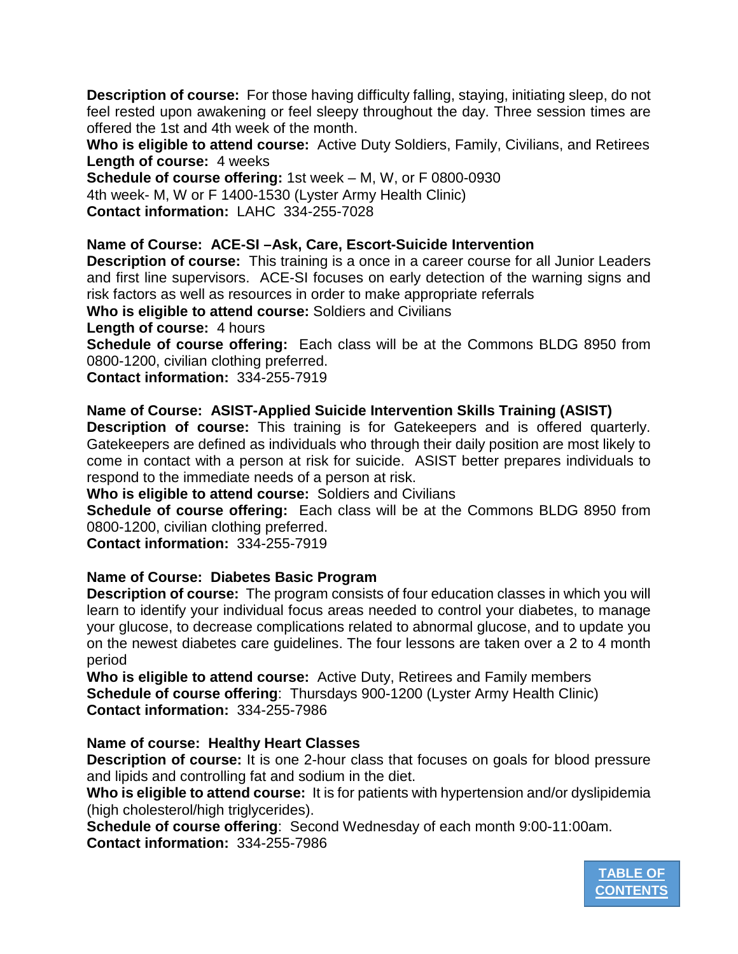**Description of course:** For those having difficulty falling, staying, initiating sleep, do not feel rested upon awakening or feel sleepy throughout the day. Three session times are offered the 1st and 4th week of the month.

**Who is eligible to attend course:** Active Duty Soldiers, Family, Civilians, and Retirees **Length of course:** 4 weeks

**Schedule of course offering:** 1st week – M, W, or F 0800-0930 4th week- M, W or F 1400-1530 (Lyster Army Health Clinic) **Contact information:** LAHC 334-255-7028

**Name of Course: ACE-SI –Ask, Care, Escort-Suicide Intervention** 

**Description of course:** This training is a once in a career course for all Junior Leaders and first line supervisors. ACE-SI focuses on early detection of the warning signs and risk factors as well as resources in order to make appropriate referrals

**Who is eligible to attend course:** Soldiers and Civilians

**Length of course:** 4 hours

**Schedule of course offering:** Each class will be at the Commons BLDG 8950 from 0800-1200, civilian clothing preferred.

**Contact information:** 334-255-7919

**Name of Course: ASIST-Applied Suicide Intervention Skills Training (ASIST)**

**Description of course:** This training is for Gatekeepers and is offered quarterly. Gatekeepers are defined as individuals who through their daily position are most likely to come in contact with a person at risk for suicide. ASIST better prepares individuals to respond to the immediate needs of a person at risk.

**Who is eligible to attend course:** Soldiers and Civilians

**Schedule of course offering:** Each class will be at the Commons BLDG 8950 from 0800-1200, civilian clothing preferred.

**Contact information:** 334-255-7919

## **Name of Course: Diabetes Basic Program**

**Description of course:** The program consists of four education classes in which you will learn to identify your individual focus areas needed to control your diabetes, to manage your glucose, to decrease complications related to abnormal glucose, and to update you on the newest diabetes care guidelines. The four lessons are taken over a 2 to 4 month period

**Who is eligible to attend course:** Active Duty, Retirees and Family members **Schedule of course offering**: Thursdays 900-1200 (Lyster Army Health Clinic) **Contact information:** 334-255-7986

## **Name of course: Healthy Heart Classes**

**Description of course:** It is one 2-hour class that focuses on goals for blood pressure and lipids and controlling fat and sodium in the diet.

**Who is eligible to attend course:** It is for patients with hypertension and/or dyslipidemia (high cholesterol/high triglycerides).

**Schedule of course offering**: Second Wednesday of each month 9:00-11:00am. **Contact information:** 334-255-7986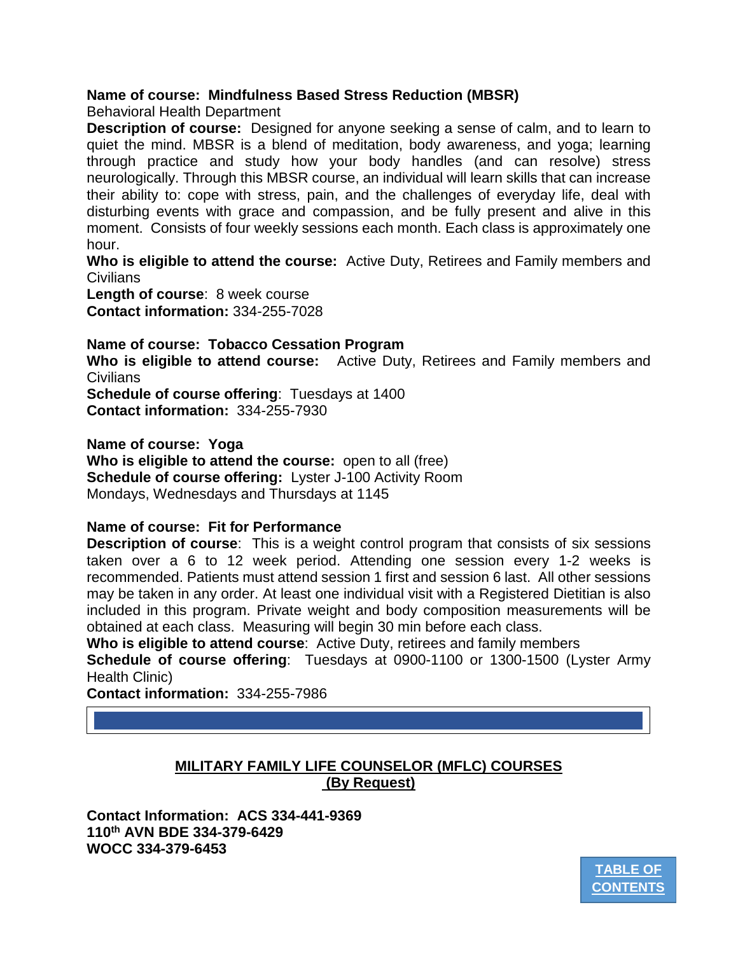## **Name of course: Mindfulness Based Stress Reduction (MBSR)**

Behavioral Health Department

**Description of course:** Designed for anyone seeking a sense of calm, and to learn to quiet the mind. MBSR is a blend of meditation, body awareness, and yoga; learning through practice and study how your body handles (and can resolve) stress neurologically. Through this MBSR course, an individual will learn skills that can increase their ability to: cope with stress, pain, and the challenges of everyday life, deal with disturbing events with grace and compassion, and be fully present and alive in this moment. Consists of four weekly sessions each month. Each class is approximately one hour.

**Who is eligible to attend the course:** Active Duty, Retirees and Family members and Civilians

**Length of course**: 8 week course **Contact information:** 334-255-7028

**Name of course: Tobacco Cessation Program**

**Who is eligible to attend course:** Active Duty, Retirees and Family members and **Civilians** 

**Schedule of course offering**: Tuesdays at 1400 **Contact information:** 334-255-7930

**Name of course: Yoga**

**Who is eligible to attend the course:** open to all (free) **Schedule of course offering:** Lyster J-100 Activity Room Mondays, Wednesdays and Thursdays at 1145

## **Name of course: Fit for Performance**

**Description of course**: This is a weight control program that consists of six sessions taken over a 6 to 12 week period. Attending one session every 1-2 weeks is recommended. Patients must attend session 1 first and session 6 last. All other sessions may be taken in any order. At least one individual visit with a Registered Dietitian is also included in this program. Private weight and body composition measurements will be obtained at each class. Measuring will begin 30 min before each class.

**Who is eligible to attend course**: Active Duty, retirees and family members

**Schedule of course offering**: Tuesdays at 0900-1100 or 1300-1500 (Lyster Army Health Clinic)

**Contact information:** 334-255-7986

**MILITARY FAMILY LIFE COUNSELOR (MFLC) COURSES (By Request)**

<span id="page-19-0"></span>**Contact Information: ACS 334-441-9369 110th AVN BDE 334-379-6429 WOCC 334-379-6453**

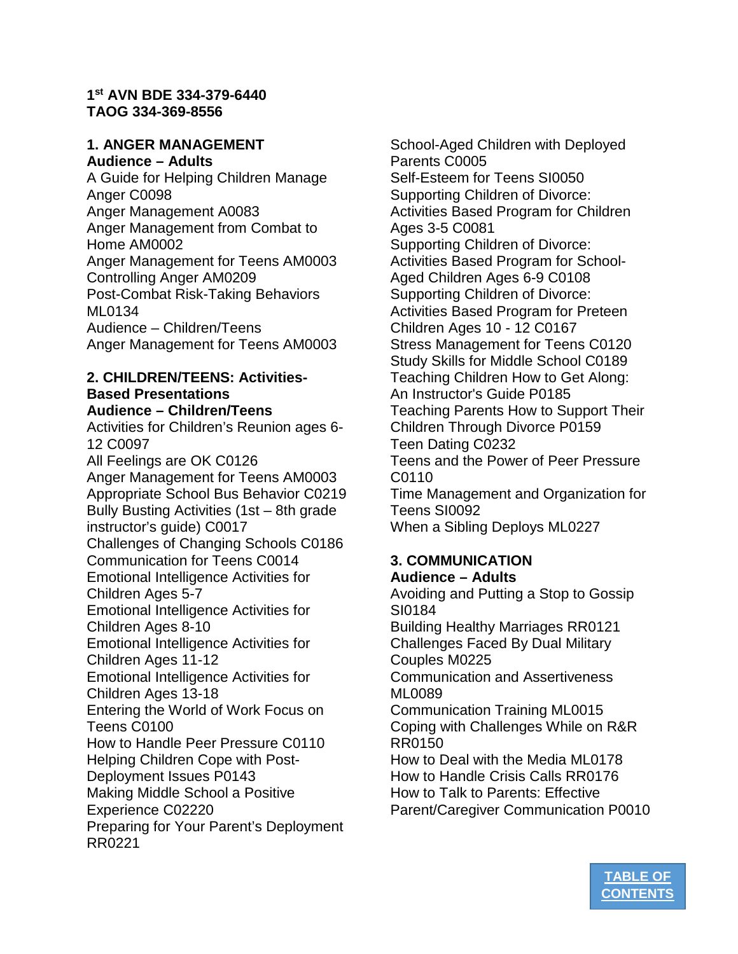#### **1st AVN BDE 334-379-6440 TAOG 334-369-8556**

#### **1. ANGER MANAGEMENT Audience – Adults**

A Guide for Helping Children Manage Anger C0098 Anger Management A0083 Anger Management from Combat to Home AM0002 Anger Management for Teens AM0003 Controlling Anger AM0209 Post-Combat Risk-Taking Behaviors ML0134 Audience – Children/Teens Anger Management for Teens AM0003

#### **2. CHILDREN/TEENS: Activities-Based Presentations Audience – Children/Teens**

Activities for Children's Reunion ages 6- 12 C0097 All Feelings are OK C0126 Anger Management for Teens AM0003 Appropriate School Bus Behavior C0219 Bully Busting Activities (1st – 8th grade instructor's guide) C0017 Challenges of Changing Schools C0186 Communication for Teens C0014 Emotional Intelligence Activities for Children Ages 5-7 Emotional Intelligence Activities for Children Ages 8-10 Emotional Intelligence Activities for Children Ages 11-12 Emotional Intelligence Activities for Children Ages 13-18 Entering the World of Work Focus on Teens C0100 How to Handle Peer Pressure C0110 Helping Children Cope with Post-Deployment Issues P0143 Making Middle School a Positive Experience C02220 Preparing for Your Parent's Deployment RR0221

School-Aged Children with Deployed Parents C0005 Self-Esteem for Teens SI0050 Supporting Children of Divorce: Activities Based Program for Children Ages 3-5 C0081 Supporting Children of Divorce: Activities Based Program for School-Aged Children Ages 6-9 C0108 Supporting Children of Divorce: Activities Based Program for Preteen Children Ages 10 - 12 C0167 Stress Management for Teens C0120 Study Skills for Middle School C0189 Teaching Children How to Get Along: An Instructor's Guide P0185 Teaching Parents How to Support Their Children Through Divorce P0159 Teen Dating C0232 Teens and the Power of Peer Pressure C0110 Time Management and Organization for Teens SI0092 When a Sibling Deploys ML0227

## **3. COMMUNICATION Audience – Adults**

Avoiding and Putting a Stop to Gossip SI0184 Building Healthy Marriages RR0121 Challenges Faced By Dual Military Couples M0225 Communication and Assertiveness ML0089 Communication Training ML0015 Coping with Challenges While on R&R RR0150 How to Deal with the Media ML0178 How to Handle Crisis Calls RR0176 How to Talk to Parents: Effective

Parent/Caregiver Communication P0010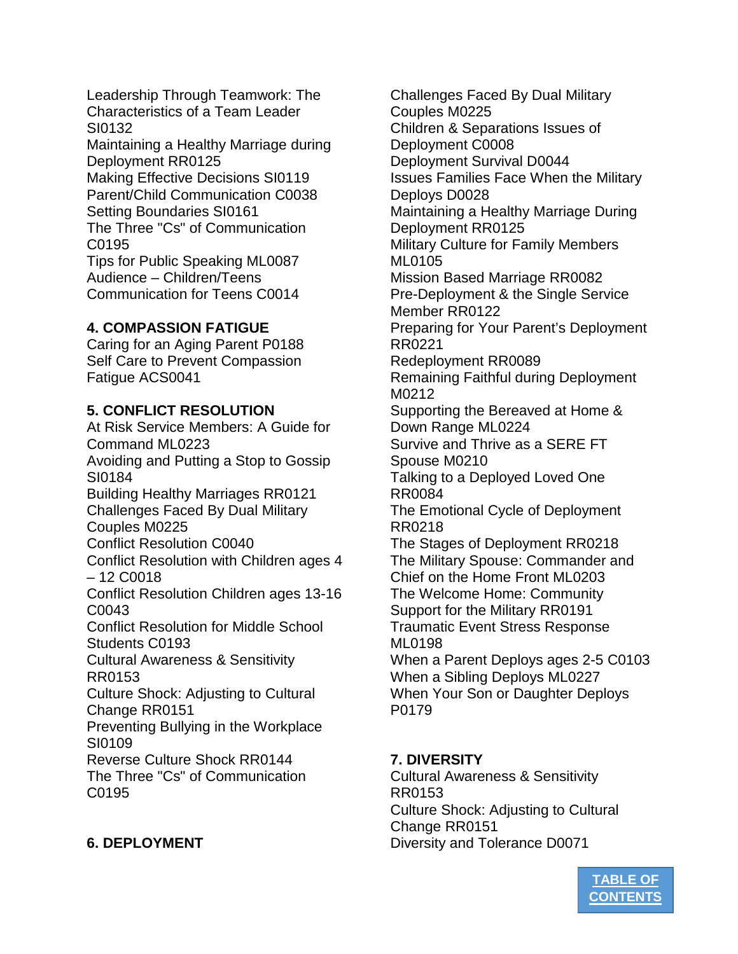Leadership Through Teamwork: The Characteristics of a Team Leader SI0132

Maintaining a Healthy Marriage during Deployment RR0125

Making Effective Decisions SI0119 Parent/Child Communication C0038 Setting Boundaries SI0161 The Three "Cs" of Communication

C0195 Tips for Public Speaking ML0087 Audience – Children/Teens Communication for Teens C0014

# **4. COMPASSION FATIGUE**

Caring for an Aging Parent P0188 Self Care to Prevent Compassion Fatigue ACS0041

# **5. CONFLICT RESOLUTION**

At Risk Service Members: A Guide for Command ML0223 Avoiding and Putting a Stop to Gossip SI0184 Building Healthy Marriages RR0121 Challenges Faced By Dual Military Couples M0225 Conflict Resolution C0040 Conflict Resolution with Children ages 4 – 12 C0018 Conflict Resolution Children ages 13-16 C0043 Conflict Resolution for Middle School Students C0193 Cultural Awareness & Sensitivity RR0153 Culture Shock: Adjusting to Cultural Change RR0151 Preventing Bullying in the Workplace SI0109 Reverse Culture Shock RR0144 The Three "Cs" of Communication C0195

**6. DEPLOYMENT**

Challenges Faced By Dual Military Couples M0225 Children & Separations Issues of Deployment C0008 Deployment Survival D0044 Issues Families Face When the Military Deploys D0028 Maintaining a Healthy Marriage During Deployment RR0125 Military Culture for Family Members ML0105 Mission Based Marriage RR0082 Pre-Deployment & the Single Service Member RR0122 Preparing for Your Parent's Deployment RR0221 Redeployment RR0089 Remaining Faithful during Deployment M0212 Supporting the Bereaved at Home & Down Range ML0224 Survive and Thrive as a SERE FT Spouse M0210 Talking to a Deployed Loved One RR0084 The Emotional Cycle of Deployment RR0218 The Stages of Deployment RR0218 The Military Spouse: Commander and Chief on the Home Front ML0203 The Welcome Home: Community Support for the Military RR0191 Traumatic Event Stress Response ML0198 When a Parent Deploys ages 2-5 C0103 When a Sibling Deploys ML0227 When Your Son or Daughter Deploys

## **7. DIVERSITY**

P0179

Cultural Awareness & Sensitivity RR0153 Culture Shock: Adjusting to Cultural Change RR0151 Diversity and Tolerance D0071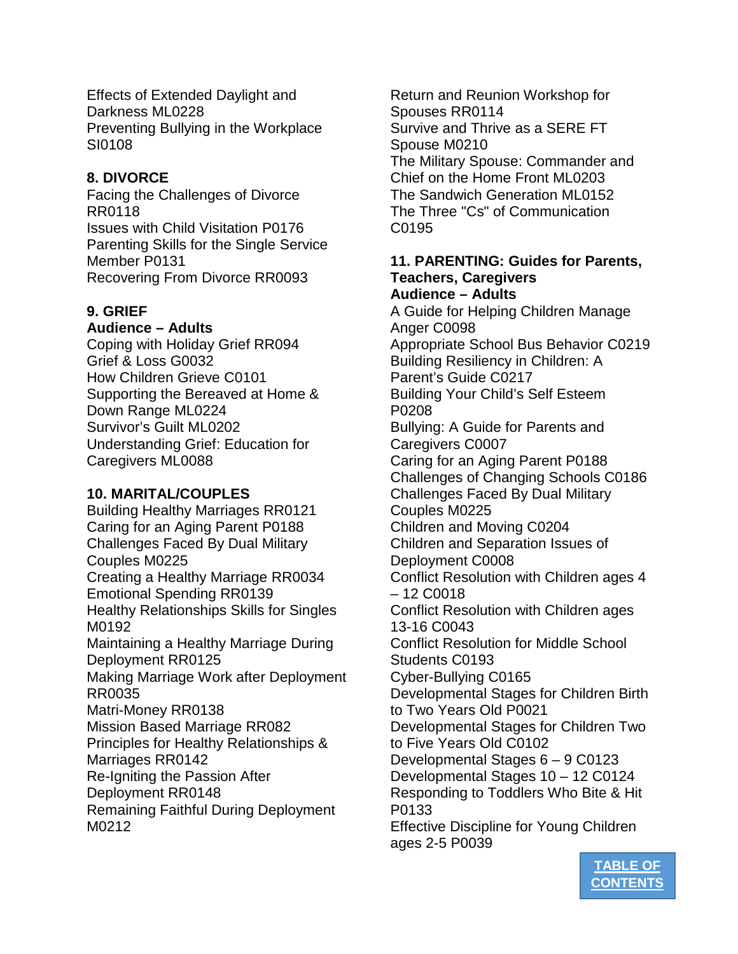Effects of Extended Daylight and Darkness ML0228 Preventing Bullying in the Workplace SI0108

## **8. DIVORCE**

Facing the Challenges of Divorce RR0118 Issues with Child Visitation P0176 Parenting Skills for the Single Service Member P0131 Recovering From Divorce RR0093

# **9. GRIEF**

## **Audience – Adults**

Coping with Holiday Grief RR094 Grief & Loss G0032 How Children Grieve C0101 Supporting the Bereaved at Home & Down Range ML0224 Survivor's Guilt ML0202 Understanding Grief: Education for Caregivers ML0088

## **10. MARITAL/COUPLES**

Building Healthy Marriages RR0121 Caring for an Aging Parent P0188 Challenges Faced By Dual Military Couples M0225 Creating a Healthy Marriage RR0034 Emotional Spending RR0139 Healthy Relationships Skills for Singles M0192 Maintaining a Healthy Marriage During Deployment RR0125 Making Marriage Work after Deployment RR0035 Matri-Money RR0138 Mission Based Marriage RR082 Principles for Healthy Relationships & Marriages RR0142 Re-Igniting the Passion After Deployment RR0148 Remaining Faithful During Deployment M0212

Return and Reunion Workshop for Spouses RR0114 Survive and Thrive as a SERE FT Spouse M0210 The Military Spouse: Commander and Chief on the Home Front ML0203 The Sandwich Generation ML0152 The Three "Cs" of Communication C0195

#### **11. PARENTING: Guides for Parents, Teachers, Caregivers Audience – Adults**

A Guide for Helping Children Manage Anger C0098 Appropriate School Bus Behavior C0219 Building Resiliency in Children: A Parent's Guide C0217 Building Your Child's Self Esteem P0208 Bullying: A Guide for Parents and Caregivers C0007 Caring for an Aging Parent P0188 Challenges of Changing Schools C0186 Challenges Faced By Dual Military Couples M0225 Children and Moving C0204 Children and Separation Issues of Deployment C0008 Conflict Resolution with Children ages 4 – 12 C0018 Conflict Resolution with Children ages 13-16 C0043 Conflict Resolution for Middle School Students C0193 Cyber-Bullying C0165 Developmental Stages for Children Birth to Two Years Old P0021 Developmental Stages for Children Two to Five Years Old C0102 Developmental Stages 6 – 9 C0123 Developmental Stages 10 – 12 C0124 Responding to Toddlers Who Bite & Hit P0133 Effective Discipline for Young Children ages 2-5 P0039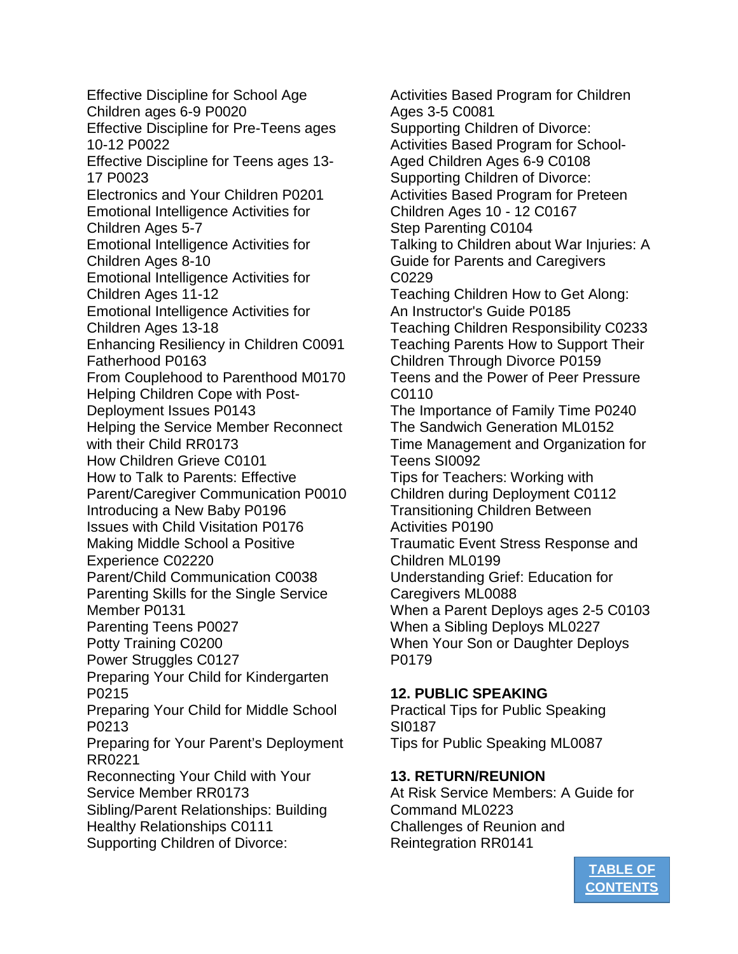Effective Discipline for School Age Children ages 6-9 P0020 Effective Discipline for Pre-Teens ages 10-12 P0022 Effective Discipline for Teens ages 13- 17 P0023 Electronics and Your Children P0201 Emotional Intelligence Activities for Children Ages 5-7 Emotional Intelligence Activities for Children Ages 8-10 Emotional Intelligence Activities for Children Ages 11-12 Emotional Intelligence Activities for Children Ages 13-18 Enhancing Resiliency in Children C0091 Fatherhood P0163 From Couplehood to Parenthood M0170 Helping Children Cope with Post-Deployment Issues P0143 Helping the Service Member Reconnect with their Child RR0173 How Children Grieve C0101 How to Talk to Parents: Effective Parent/Caregiver Communication P0010 Introducing a New Baby P0196 Issues with Child Visitation P0176 Making Middle School a Positive Experience C02220 Parent/Child Communication C0038 Parenting Skills for the Single Service Member P0131 Parenting Teens P0027 Potty Training C0200 Power Struggles C0127 Preparing Your Child for Kindergarten P0215 Preparing Your Child for Middle School P0213 Preparing for Your Parent's Deployment RR0221 Reconnecting Your Child with Your Service Member RR0173 Sibling/Parent Relationships: Building Healthy Relationships C0111 Supporting Children of Divorce:

Activities Based Program for Children Ages 3-5 C0081 Supporting Children of Divorce: Activities Based Program for School-Aged Children Ages 6-9 C0108 Supporting Children of Divorce: Activities Based Program for Preteen Children Ages 10 - 12 C0167 Step Parenting C0104 Talking to Children about War Injuries: A Guide for Parents and Caregivers C0229 Teaching Children How to Get Along: An Instructor's Guide P0185 Teaching Children Responsibility C0233 Teaching Parents How to Support Their Children Through Divorce P0159 Teens and the Power of Peer Pressure C0110 The Importance of Family Time P0240 The Sandwich Generation ML0152 Time Management and Organization for Teens SI0092 Tips for Teachers: Working with Children during Deployment C0112 Transitioning Children Between Activities P0190 Traumatic Event Stress Response and Children ML0199 Understanding Grief: Education for Caregivers ML0088 When a Parent Deploys ages 2-5 C0103 When a Sibling Deploys ML0227 When Your Son or Daughter Deploys P0179

## **12. PUBLIC SPEAKING**

Practical Tips for Public Speaking SI0187 Tips for Public Speaking ML0087

#### **13. RETURN/REUNION**

At Risk Service Members: A Guide for Command ML0223 Challenges of Reunion and Reintegration RR0141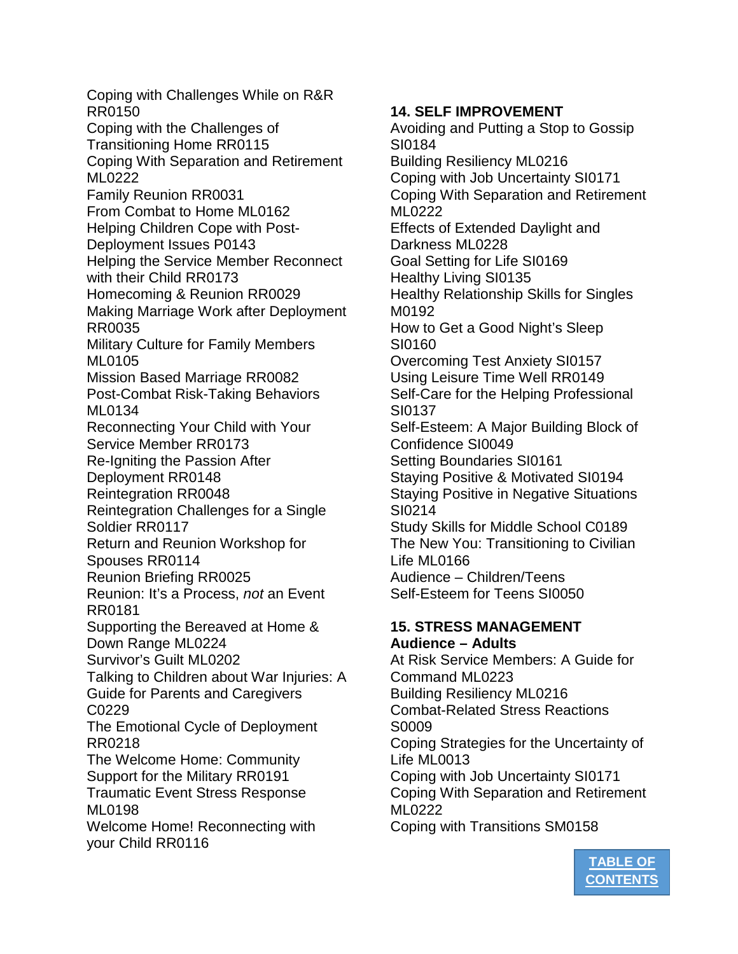Coping with Challenges While on R&R RR0150 Coping with the Challenges of Transitioning Home RR0115 Coping With Separation and Retirement ML0222 Family Reunion RR0031 From Combat to Home ML0162 Helping Children Cope with Post-Deployment Issues P0143 Helping the Service Member Reconnect with their Child RR0173 Homecoming & Reunion RR0029 Making Marriage Work after Deployment RR0035 Military Culture for Family Members ML0105 Mission Based Marriage RR0082 Post-Combat Risk-Taking Behaviors ML0134 Reconnecting Your Child with Your Service Member RR0173 Re-Igniting the Passion After Deployment RR0148 Reintegration RR0048 Reintegration Challenges for a Single Soldier RR0117 Return and Reunion Workshop for Spouses RR0114 Reunion Briefing RR0025 Reunion: It's a Process, *not* an Event RR0181 Supporting the Bereaved at Home & Down Range ML0224 Survivor's Guilt ML0202 Talking to Children about War Injuries: A Guide for Parents and Caregivers C0229 The Emotional Cycle of Deployment RR0218 The Welcome Home: Community Support for the Military RR0191 Traumatic Event Stress Response ML0198 Welcome Home! Reconnecting with your Child RR0116

# **14. SELF IMPROVEMENT**

Avoiding and Putting a Stop to Gossip SI0184 Building Resiliency ML0216 Coping with Job Uncertainty SI0171 Coping With Separation and Retirement ML0222 Effects of Extended Daylight and Darkness ML0228 Goal Setting for Life SI0169 Healthy Living SI0135 Healthy Relationship Skills for Singles M0192 How to Get a Good Night's Sleep SI0160 Overcoming Test Anxiety SI0157 Using Leisure Time Well RR0149 Self-Care for the Helping Professional SI0137 Self-Esteem: A Major Building Block of Confidence SI0049 Setting Boundaries SI0161 Staying Positive & Motivated SI0194 Staying Positive in Negative Situations SI0214 Study Skills for Middle School C0189 The New You: Transitioning to Civilian Life ML0166 Audience – Children/Teens Self-Esteem for Teens SI0050 **15. STRESS MANAGEMENT Audience – Adults** At Risk Service Members: A Guide for Command ML0223 Building Resiliency ML0216 Combat-Related Stress Reactions S0009 Coping Strategies for the Uncertainty of Life ML0013

Coping with Job Uncertainty SI0171 Coping With Separation and Retirement ML0222 Coping with Transitions SM0158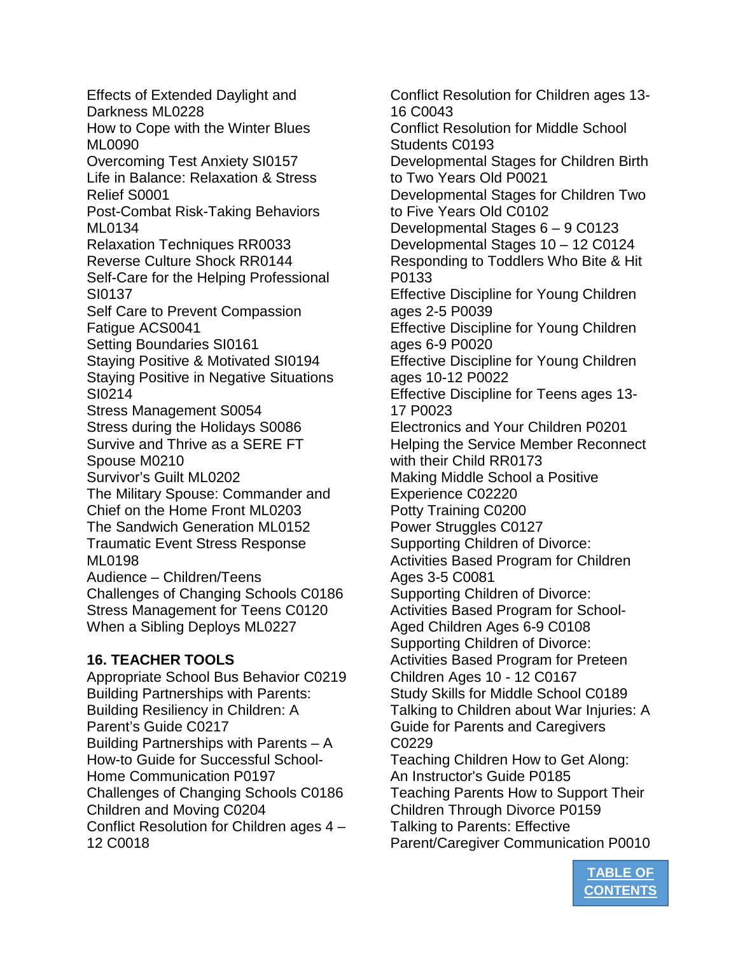Effects of Extended Daylight and Darkness ML0228 How to Cope with the Winter Blues ML0090 Overcoming Test Anxiety SI0157 Life in Balance: Relaxation & Stress Relief S0001 Post-Combat Risk-Taking Behaviors ML0134 Relaxation Techniques RR0033 Reverse Culture Shock RR0144 Self-Care for the Helping Professional SI0137 Self Care to Prevent Compassion Fatigue ACS0041 Setting Boundaries SI0161 Staying Positive & Motivated SI0194 Staying Positive in Negative Situations SI0214 Stress Management S0054 Stress during the Holidays S0086 Survive and Thrive as a SERE FT Spouse M0210 Survivor's Guilt ML0202 The Military Spouse: Commander and Chief on the Home Front ML0203 The Sandwich Generation ML0152 Traumatic Event Stress Response ML0198 Audience – Children/Teens Challenges of Changing Schools C0186 Stress Management for Teens C0120 When a Sibling Deploys ML0227 **16. TEACHER TOOLS**

Appropriate School Bus Behavior C0219 Building Partnerships with Parents: Building Resiliency in Children: A Parent's Guide C0217 Building Partnerships with Parents – A How-to Guide for Successful School-Home Communication P0197 Challenges of Changing Schools C0186 Children and Moving C0204 Conflict Resolution for Children ages 4 – 12 C0018

Conflict Resolution for Children ages 13- 16 C0043 Conflict Resolution for Middle School Students C0193 Developmental Stages for Children Birth to Two Years Old P0021 Developmental Stages for Children Two to Five Years Old C0102 Developmental Stages 6 – 9 C0123 Developmental Stages 10 – 12 C0124 Responding to Toddlers Who Bite & Hit P0133 Effective Discipline for Young Children ages 2-5 P0039 Effective Discipline for Young Children ages 6-9 P0020 Effective Discipline for Young Children ages 10-12 P0022 Effective Discipline for Teens ages 13- 17 P0023 Electronics and Your Children P0201 Helping the Service Member Reconnect with their Child RR0173 Making Middle School a Positive Experience C02220 Potty Training C0200 Power Struggles C0127 Supporting Children of Divorce: Activities Based Program for Children Ages 3-5 C0081 Supporting Children of Divorce: Activities Based Program for School-Aged Children Ages 6-9 C0108 Supporting Children of Divorce: Activities Based Program for Preteen Children Ages 10 - 12 C0167 Study Skills for Middle School C0189 Talking to Children about War Injuries: A Guide for Parents and Caregivers C0229 Teaching Children How to Get Along: An Instructor's Guide P0185 Teaching Parents How to Support Their Children Through Divorce P0159 Talking to Parents: Effective Parent/Caregiver Communication P0010